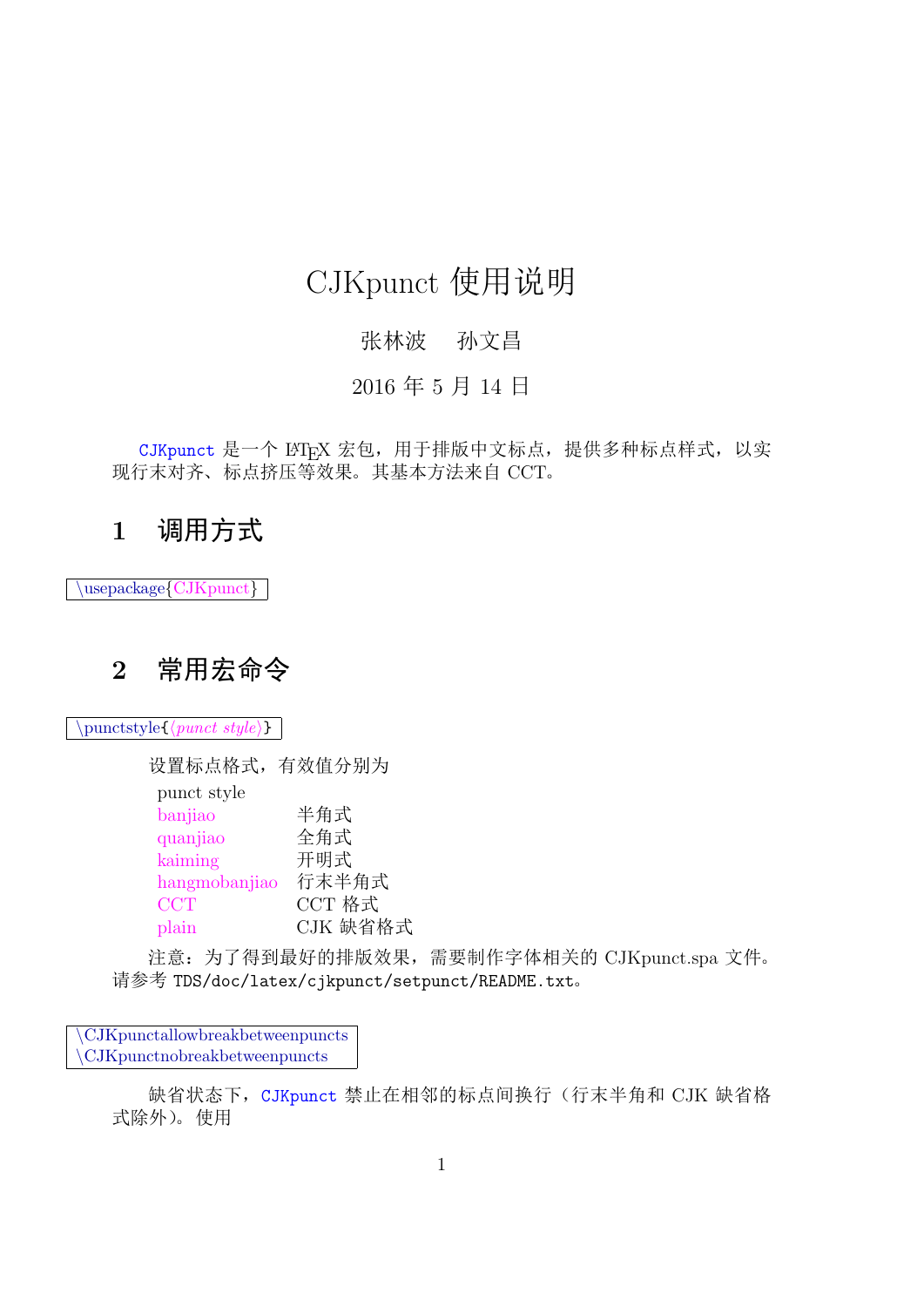# CJKpunct 使用说明

## 张林波 孙文昌

### 2016 年 5 月 14 日

CJKpunct 是一个 LATFX 宏包, 用于排版中文标点, 提供多种标点样式, 以实 现行末对齐、标点挤压等效果。其基本方法来自 CCT。

# **1** 调用方式

*\*usepackage*{*CJKpunct*}*

# **2** 常用宏命令

*\*punctstyle{*⟨punct style⟩*}

设置标点格式,有效值分别为 punct style banjiao 半角式 quanjiao 全角式 kaiming 开明式 hangmobanjiao 行末半角式 CCT M CCT 格式 plain CJK 缺省格式

注意:为了得到最好的排版效果,需要制作字体相关的 CJKpunct.spa 文件。 请参考 TDS/doc/latex/cjkpunct/setpunct/README.txt。

*\*CJKpunctallowbreakbetweenpuncts *\*CJKpunctnobreakbetweenpuncts

> 缺省状态下, CJKpunct 禁止在相邻的标点间换行(行末半角和 CJK 缺省格 式除外)。使用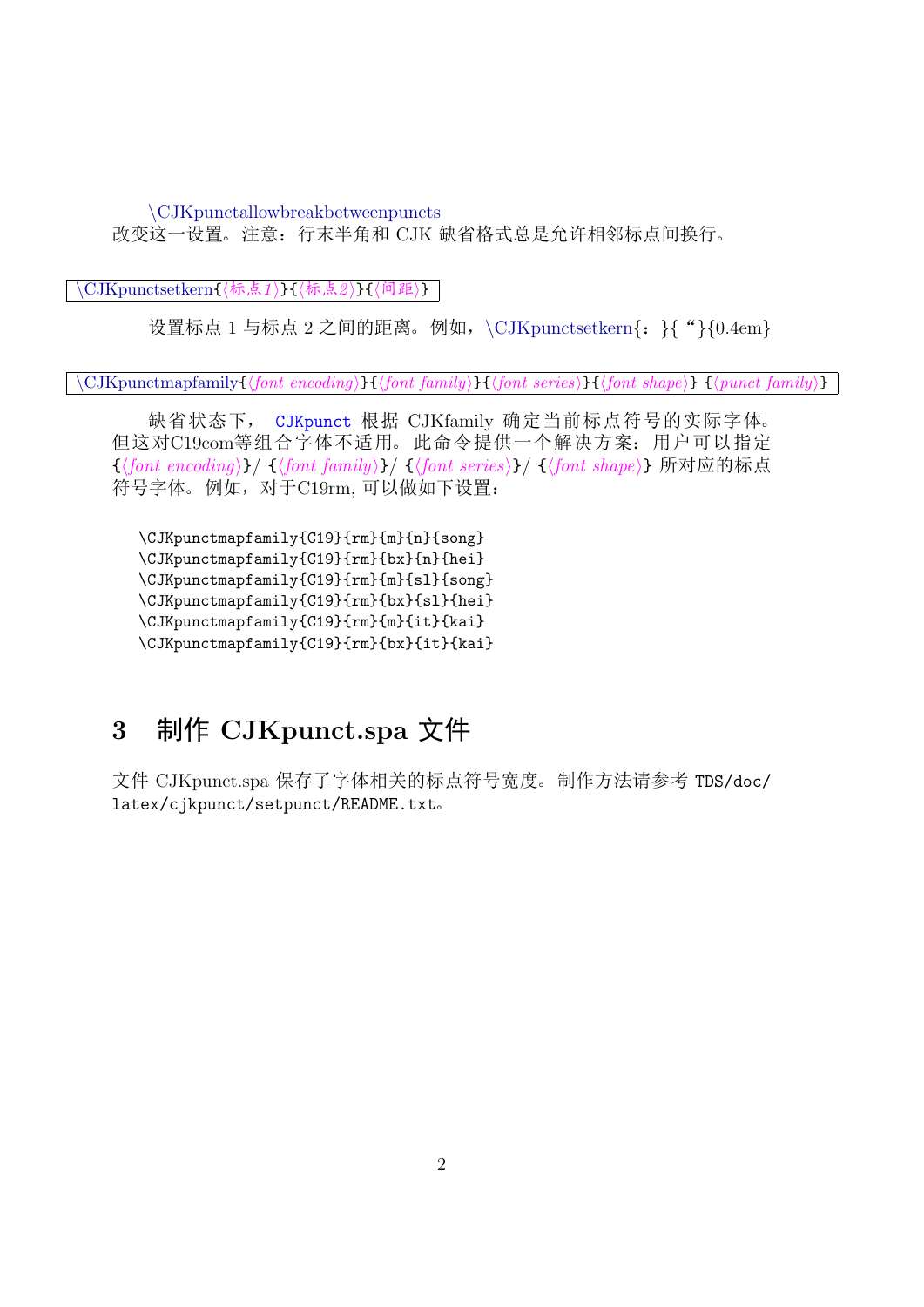*\*CJKpunctallowbreakbetweenpuncts 改变这一设置。注意:行末半角和 CJK 缺省格式总是允许相邻标点间换行。

*\*CJKpunctsetkern{*⟨*标点*1 ⟩*}{*⟨*标点*2 ⟩*}{*⟨*间距*⟩*}

设置标点 1 与标点 2 之间的距离。例如,*\*CJKpunctsetkern*{*:*}{*"*}{*0.4em*}*

*\*CJKpunctmapfamily{*⟨font encoding⟩*}{*⟨font family⟩*}{*⟨font series⟩*}{*⟨font shape⟩*} {*⟨punct family⟩*}

缺省状态下, CJKpunct 根据 CJKfamily 确定当前标点符号的实际字体。 但这对C19com等组合字体不适用。 此命令提供一个解决方案:用户可以指定 {*⟨font encoding⟩*}/ {*⟨font family⟩*}/ {*⟨font series⟩*}/ {*⟨font shape⟩*} 所对应的标点 符号字体。例如,对于C19rm, 可以做如下设置:

\CJKpunctmapfamily{C19}{rm}{m}{n}{song} \CJKpunctmapfamily{C19}{rm}{bx}{n}{hei} \CJKpunctmapfamily{C19}{rm}{m}{sl}{song} \CJKpunctmapfamily{C19}{rm}{bx}{sl}{hei} \CJKpunctmapfamily{C19}{rm}{m}{it}{kai} \CJKpunctmapfamily{C19}{rm}{bx}{it}{kai}

# **3** 制作 **CJKpunct.spa** 文件

文件 CJKpunct.spa 保存了字体相关的标点符号宽度。制作方法请参考 TDS/doc/ latex/cjkpunct/setpunct/README.txt。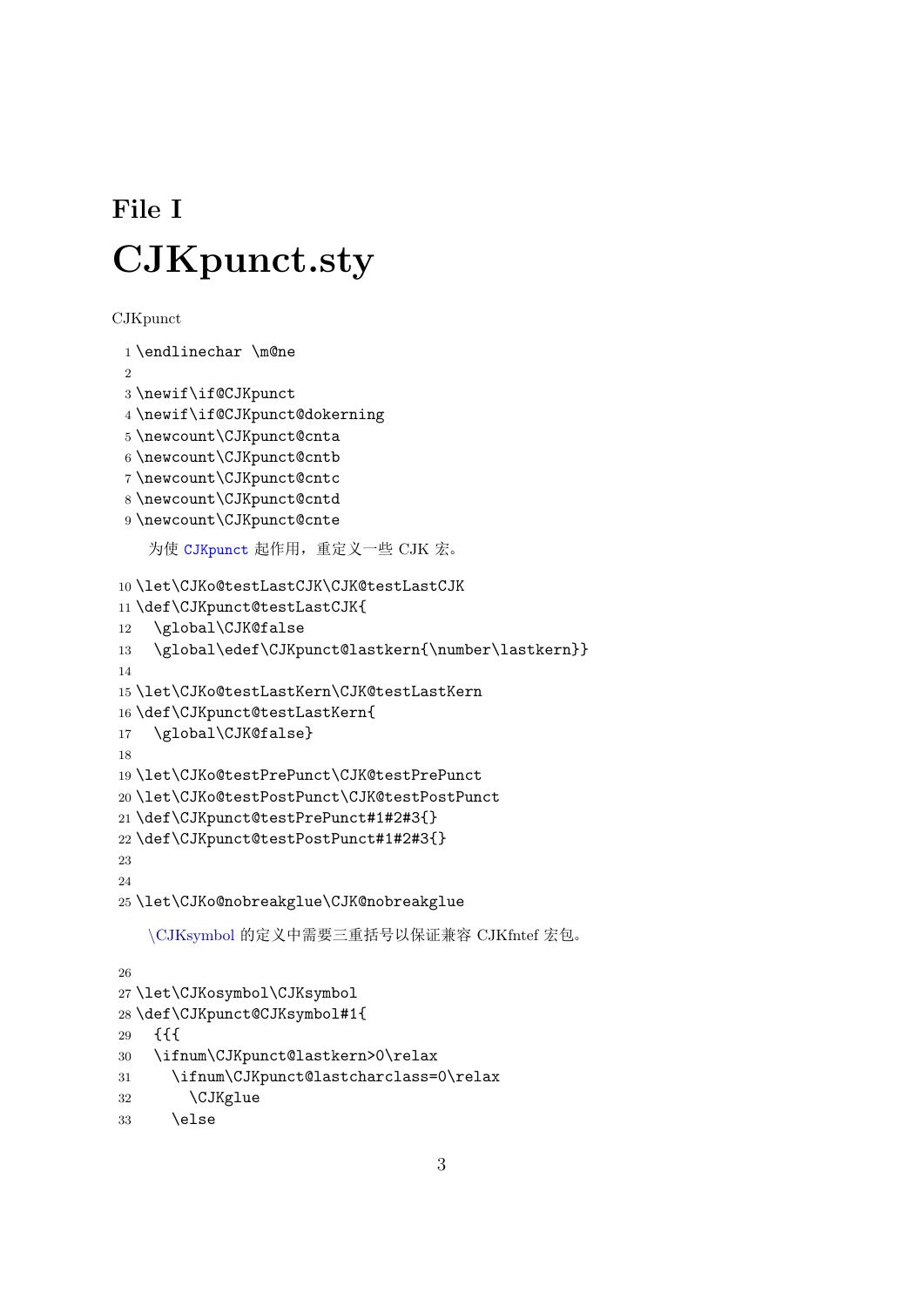# **File I CJKpunct.sty**

```
CJKpunct
```

```
1 \endlinechar \m@ne
\Omega3 \newif\if@CJKpunct
4 \newif\if@CJKpunct@dokerning
5 \newcount\CJKpunct@cnta
6 \newcount\CJKpunct@cntb
7 \newcount\CJKpunct@cntc
8 \newcount\CJKpunct@cntd
9 \newcount\CJKpunct@cnte
```
<span id="page-2-13"></span><span id="page-2-12"></span><span id="page-2-11"></span><span id="page-2-10"></span>为使 CJKpunct 起作用,重定义一些 CJK 宏。

```
10 \let\CJKo@testLastCJK\CJK@testLastCJK
11 \def\CJKpunct@testLastCJK{
12 \global\CJK@false
13 \global\edef\CJKpunct@lastkern{\number\lastkern}}
14
15 \let\CJKo@testLastKern\CJK@testLastKern
16 \def\CJKpunct@testLastKern{
17 \global\CJK@false}
18
19 \let\CJKo@testPrePunct\CJK@testPrePunct
20 \let\CJKo@testPostPunct\CJK@testPostPunct
21 \def\CJKpunct@testPrePunct#1#2#3{}
22 \def\CJKpunct@testPostPunct#1#2#3{}
23
24
25 \let\CJKo@nobreakglue\CJK@nobreakglue
   \CJKsymbol 的定义中需要三重括号以保证兼容 CJKfntef 宏包。
26
```

```
27 \let\CJKosymbol\CJKsymbol
28 \def\CJKpunct@CJKsymbol#1{
29 {{{
30 \ifnum\CJKpunct@lastkern>0\relax
31 \ifnum\CJKpunct@lastcharclass=0\relax
32 \CJKglue
33 \else
```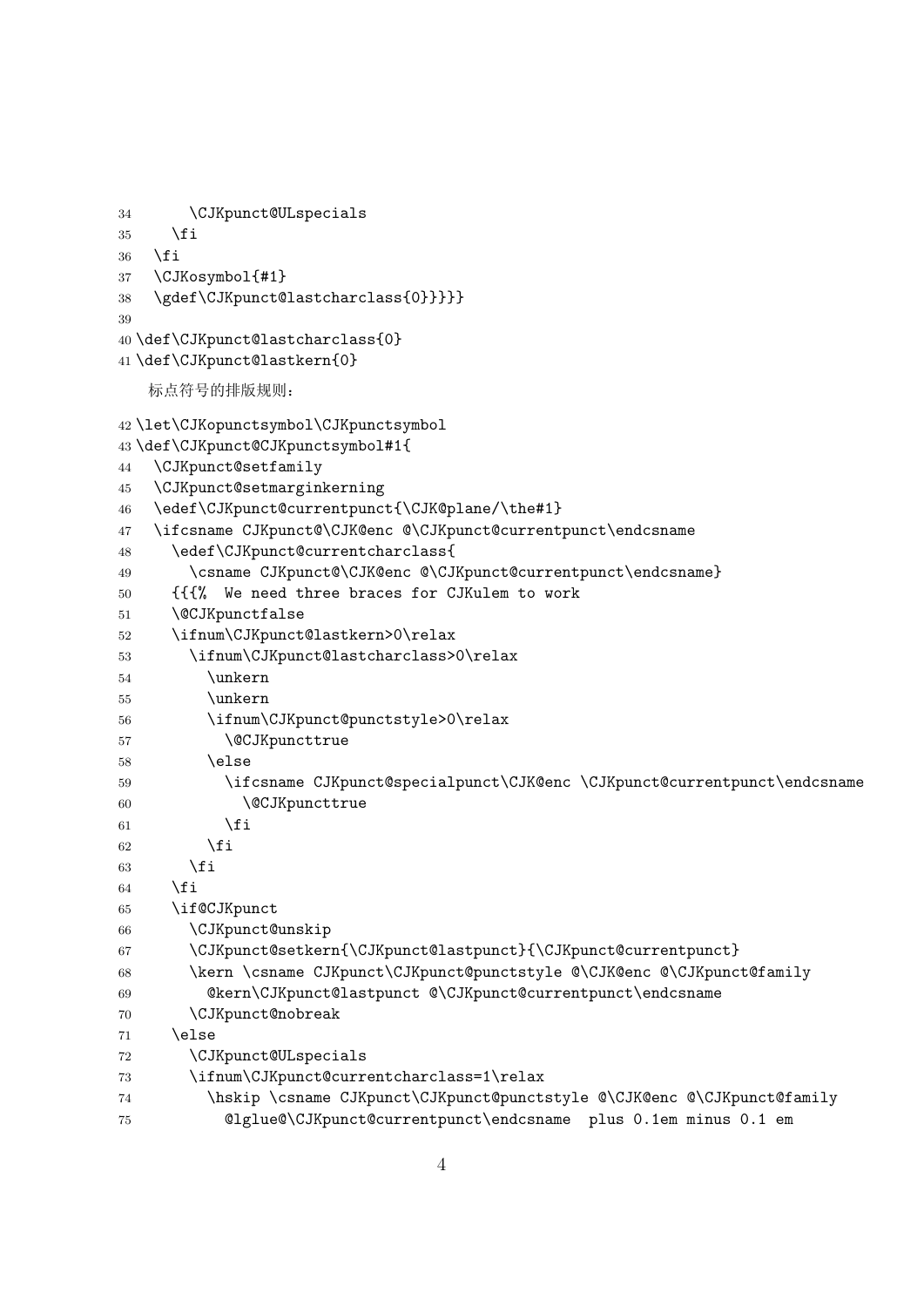```
34 \CJKpunct@ULspecials
35 \fi
36 \fi
37 \CJKosymbol{#1}
38 \gdef\CJKpunct@lastcharclass{0}}}}}
39
40 \def\CJKpunct@lastcharclass{0}
41 \def\CJKpunct@lastkern{0}
   标点符号的排版规则:
42 \let\CJKopunctsymbol\CJKpunctsymbol
43 \def\CJKpunct@CJKpunctsymbol#1{
44 \CJKpunct@setfamily
45 \CJKpunct@setmarginkerning
46 \edef\CJKpunct@currentpunct{\CJK@plane/\the#1}
47 \ifcsname CJKpunct@\CJK@enc @\CJKpunct@currentpunct\endcsname
48 \edef\CJKpunct@currentcharclass{
49 \csname CJKpunct@\CJK@enc @\CJKpunct@currentpunct\endcsname}
50 {{{% We need three braces for CJKulem to work
51 \@CJKpunctfalse
52 \ifnum\CJKpunct@lastkern>0\relax
53 \ifnum\CJKpunct@lastcharclass>0\relax
54 \unkern
55 \unkern
56 \ifnum\CJKpunct@punctstyle>0\relax
57 \@CJKpuncttrue
58 \else
59 \ifcsname CJKpunct@specialpunct\CJK@enc \CJKpunct@currentpunct\endcsname
60 \@CJKpuncttrue
61 \qquad \qquad \text{If }62 \qquad \qquad \text{if } i63 \qquad \text{if} \quad64 \fi
65 \if@CJKpunct
66 \CJKpunct@unskip
67 \CJKpunct@setkern{\CJKpunct@lastpunct}{\CJKpunct@currentpunct}
68 \kern \csname CJKpunct\CJKpunct@punctstyle @\CJK@enc @\CJKpunct@family
69 @kern\CJKpunct@lastpunct @\CJKpunct@currentpunct\endcsname
70 \CJKpunct@nobreak
71 \else
72 \CJKpunct@ULspecials
73 \ifnum\CJKpunct@currentcharclass=1\relax
74 \hskip \csname CJKpunct\CJKpunct@punctstyle @\CJK@enc @\CJKpunct@family
75 @lglue@\CJKpunct@currentpunct\endcsname plus 0.1em minus 0.1 em
```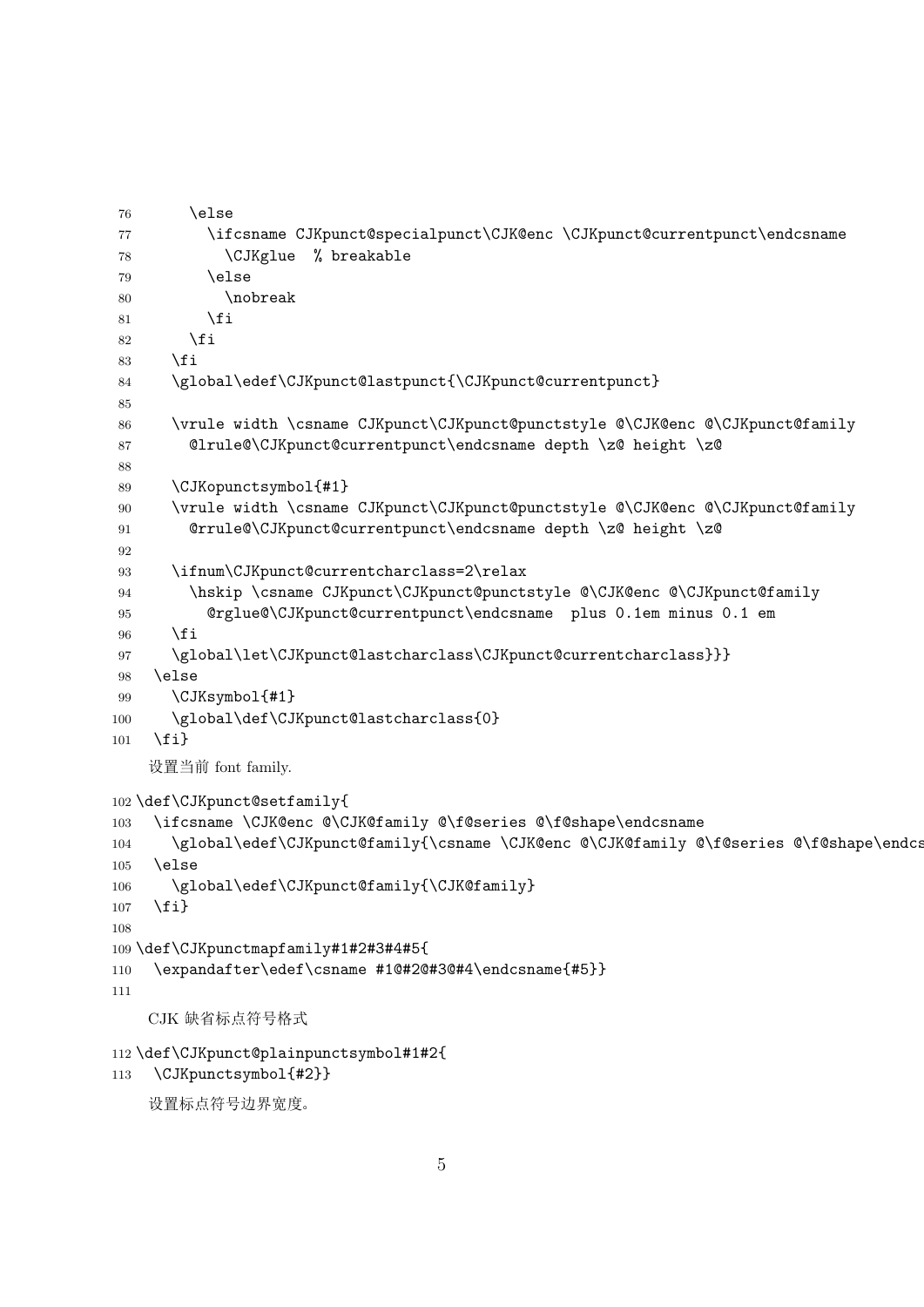```
76 \else
77 \ifcsname CJKpunct@specialpunct\CJK@enc \CJKpunct@currentpunct\endcsname
78 \CJKglue % breakable
79 \else
80 \nobreak
81 \quad \text{If }82 \quad \text{If } i83 \fi
84 \global\edef\CJKpunct@lastpunct{\CJKpunct@currentpunct}
85
86 \vrule width \csname CJKpunct\CJKpunct@punctstyle @\CJK@enc @\CJKpunct@family
87 @lrule@\CJKpunct@currentpunct\endcsname depth \z@ height \z@
88
89 \CJKopunctsymbol{#1}
90 \vrule width \csname CJKpunct\CJKpunct@punctstyle @\CJK@enc @\CJKpunct@family
91 @rrule@\CJKpunct@currentpunct\endcsname depth \z@ height \z@
92
93 \ifnum\CJKpunct@currentcharclass=2\relax
94 \hskip \csname CJKpunct\CJKpunct@punctstyle @\CJK@enc @\CJKpunct@family
95 @rglue@\CJKpunct@currentpunct\endcsname plus 0.1em minus 0.1 em
96 \fi
97 \global\let\CJKpunct@lastcharclass\CJKpunct@currentcharclass}}}
98 \else
99 \CJKsymbol{#1}
100 \global\def\CJKpunct@lastcharclass{0}
101 \fi}
   设置当前 font family.
102 \def\CJKpunct@setfamily{
103 \ifcsname \CJK@enc @\CJK@family @\f@series @\f@shape\endcsname
104 \global\edef\CJKpunct@family{\csname \CJK@enc @\CJK@family @\f@series @\f@shape\endcs
105 \else
106 \global\edef\CJKpunct@family{\CJK@family}
107 \fi}
108
109 \def\CJKpunctmapfamily#1#2#3#4#5{
110 \expandafter\edef\csname #1@#2@#3@#4\endcsname{#5}}
111
   CJK 缺省标点符号格式
112 \def\CJKpunct@plainpunctsymbol#1#2{
113 \CJKpunctsymbol{#2}}
   设置标点符号边界宽度。
```
<span id="page-4-26"></span><span id="page-4-20"></span><span id="page-4-17"></span><span id="page-4-16"></span><span id="page-4-15"></span><span id="page-4-14"></span><span id="page-4-6"></span><span id="page-4-5"></span><span id="page-4-4"></span>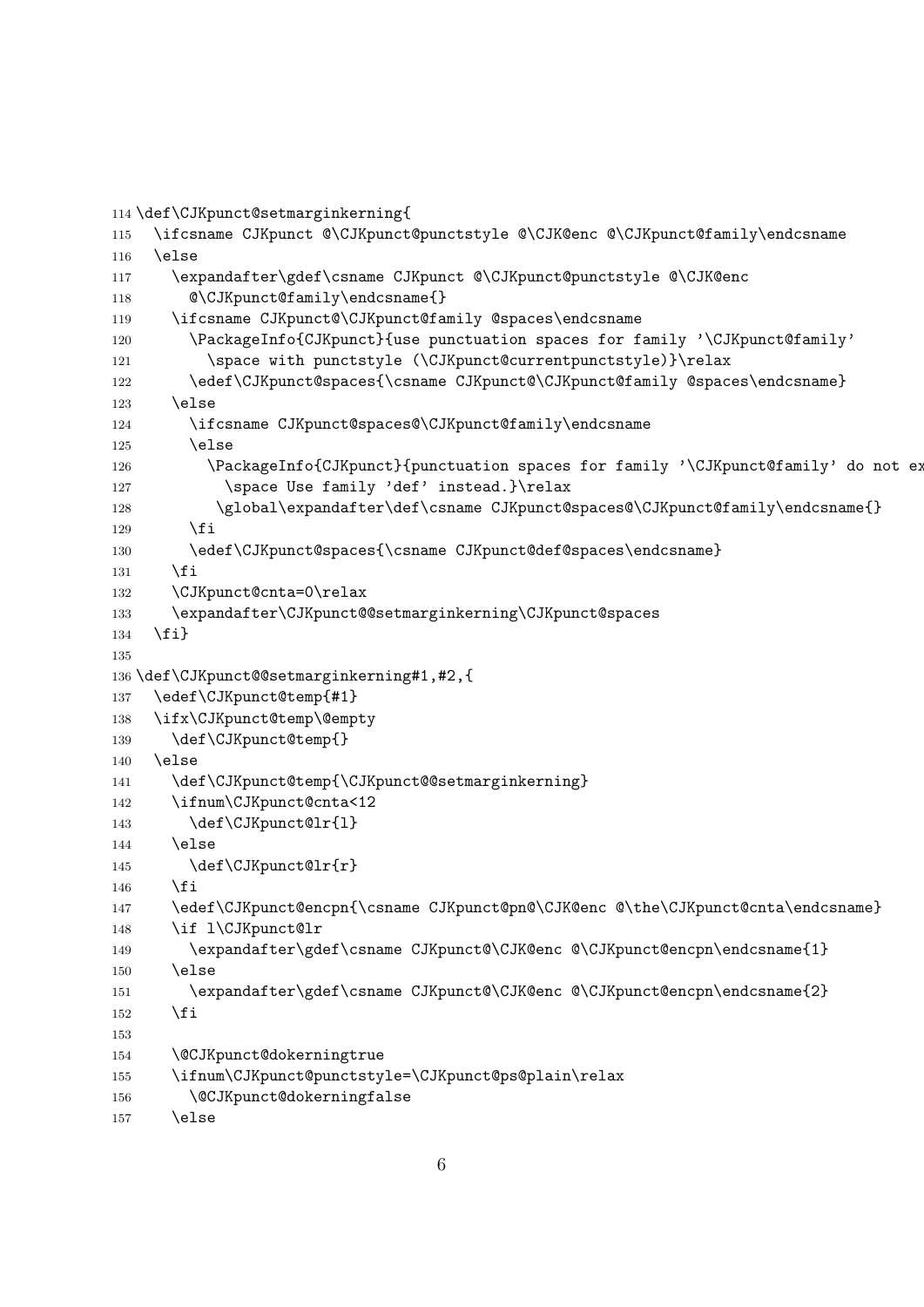```
114 \def\CJKpunct@setmarginkerning{
115 \ifcsname CJKpunct @\CJKpunct@punctstyle @\CJK@enc @\CJKpunct@family\endcsname
116 \else
117 \expandafter\gdef\csname CJKpunct @\CJKpunct@punctstyle @\CJK@enc
118 \mathbb{C}VCJKpunct@family\endcsname{}
119 \ifcsname CJKpunct@\CJKpunct@family @spaces\endcsname
120 \PackageInfo{CJKpunct}{use punctuation spaces for family '\CJKpunct@family'
121 \space with punctstyle (\CJKpunct@currentpunctstyle)}\relax
122 \edef\CJKpunct@spaces{\csname CJKpunct@\CJKpunct@family @spaces\endcsname}
123 \else
124 \ifcsname CJKpunct@spaces@\CJKpunct@family\endcsname
125 \else
126 \PackageInfo{CJKpunct}{punctuation spaces for family '\CJKpunct@family' do not ex
127 \space Use family 'def' instead.}\relax
128 \global\expandafter\def\csname CJKpunct@spaces@\CJKpunct@family\endcsname{}
129 \qquad \qquad \text{if }130 \edef\CJKpunct@spaces{\csname CJKpunct@def@spaces\endcsname}
131 \qquad \text{If }132 \CJKpunct@cnta=0\relax
133 \expandafter\CJKpunct@@setmarginkerning\CJKpunct@spaces
134 \fi}
135
136 \def\CJKpunct@@setmarginkerning#1,#2,{
137 \edef\CJKpunct@temp{#1}
138 \ifx\CJKpunct@temp\@empty
139 \def\CJKpunct@temp{}
140 \else
141 \def\CJKpunct@temp{\CJKpunct@setmarginkerning}
142 \ifnum\CJKpunct@cnta<12
143 \def\CJKpunct@lr{l}
144 \else
145 \def\CJKpunct@lr{r}
146 \fi
147 \edef\CJKpunct@encpn{\csname CJKpunct@pn@\CJK@enc @\the\CJKpunct@cnta\endcsname}
148 \if l\CJKpunct@lr
149 \expandafter\gdef\csname CJKpunct@\CJK@enc @\CJKpunct@encpn\endcsname{1}
150 \else
151 \expandafter\gdef\csname CJKpunct@\CJK@enc @\CJKpunct@encpn\endcsname{2}
152 \fi
153
154 \@CJKpunct@dokerningtrue
155 \ifnum\CJKpunct@punctstyle=\CJKpunct@ps@plain\relax
156 \@CJKpunct@dokerningfalse
157 \else
```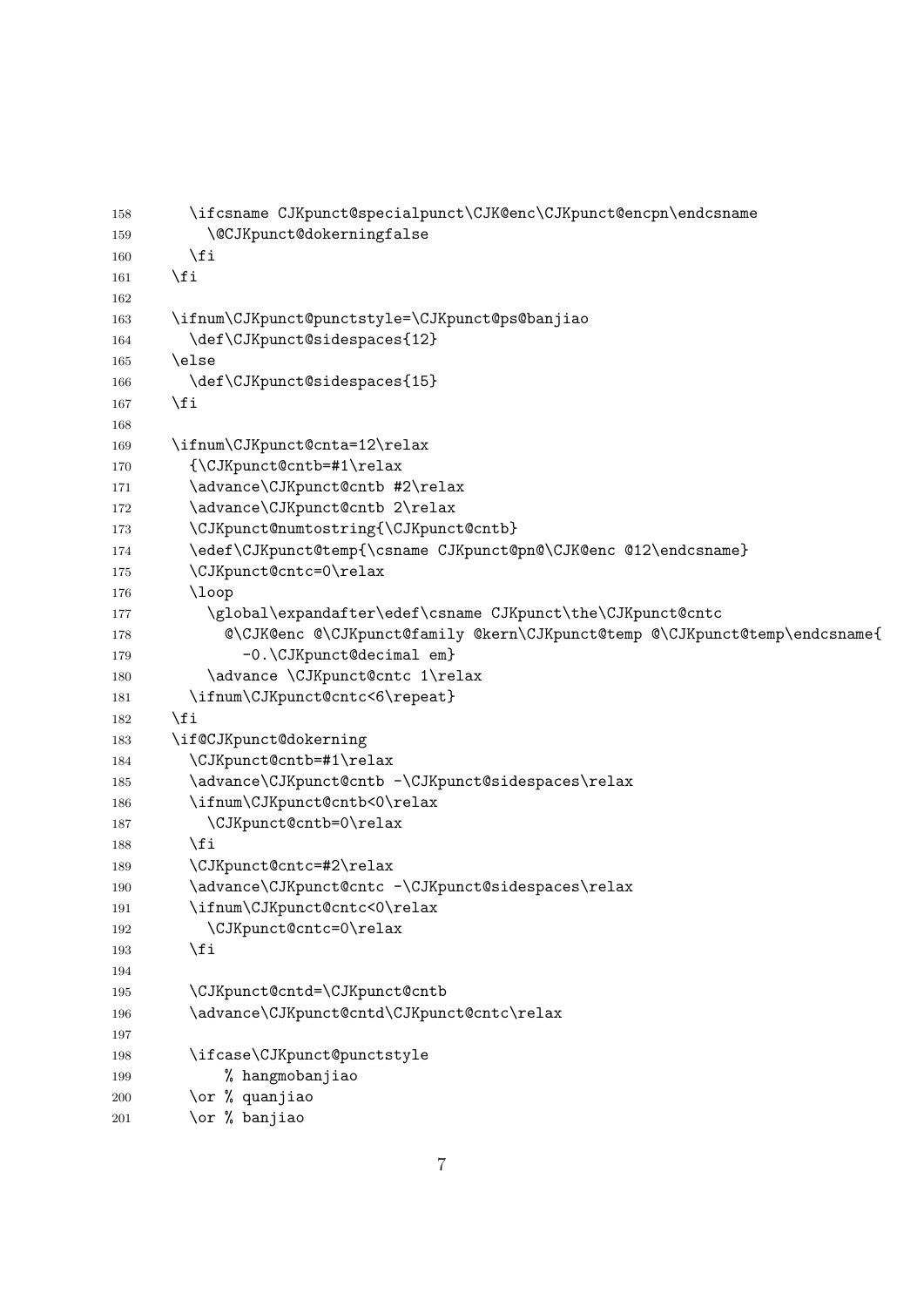<span id="page-6-33"></span><span id="page-6-32"></span><span id="page-6-31"></span><span id="page-6-30"></span><span id="page-6-29"></span><span id="page-6-28"></span><span id="page-6-27"></span><span id="page-6-26"></span><span id="page-6-25"></span><span id="page-6-24"></span><span id="page-6-23"></span><span id="page-6-22"></span><span id="page-6-21"></span><span id="page-6-20"></span><span id="page-6-19"></span><span id="page-6-18"></span><span id="page-6-17"></span><span id="page-6-16"></span><span id="page-6-15"></span><span id="page-6-14"></span><span id="page-6-13"></span><span id="page-6-12"></span><span id="page-6-11"></span><span id="page-6-10"></span><span id="page-6-9"></span><span id="page-6-8"></span><span id="page-6-7"></span><span id="page-6-6"></span><span id="page-6-5"></span><span id="page-6-4"></span><span id="page-6-3"></span><span id="page-6-2"></span><span id="page-6-1"></span><span id="page-6-0"></span>

| 158 | \ifcsname CJKpunct@specialpunct\CJK@enc\CJKpunct@encpn\endcsname           |
|-----|----------------------------------------------------------------------------|
| 159 | \@CJKpunct@dokerningfalse                                                  |
| 160 | \fi                                                                        |
| 161 | \fi                                                                        |
| 162 |                                                                            |
| 163 | \ifnum\CJKpunct@punctstyle=\CJKpunct@ps@banjiao                            |
| 164 | \def\CJKpunct@sidespaces{12}                                               |
| 165 | \else                                                                      |
| 166 | \def\CJKpunct@sidespaces{15}                                               |
| 167 | \fi                                                                        |
| 168 |                                                                            |
| 169 | \ifnum\CJKpunct@cnta=12\relax                                              |
| 170 | {\CJKpunct@cntb=#1\relax                                                   |
| 171 | \advance\CJKpunct@cntb #2\relax                                            |
| 172 | \advance\CJKpunct@cntb 2\relax                                             |
| 173 | \CJKpunct@numtostring{\CJKpunct@cntb}                                      |
| 174 | \edef\CJKpunct@temp{\csname CJKpunct@pn@\CJK@enc @12\endcsname}            |
| 175 | \CJKpunct@cntc=0\relax                                                     |
| 176 | $\log$                                                                     |
| 177 | \global\expandafter\edef\csname CJKpunct\the\CJKpunct@cntc                 |
| 178 | @\CJK@enc @\CJKpunct@family @kern\CJKpunct@temp @\CJKpunct@temp\endcsname{ |
| 179 | -0.\CJKpunct@decimal em}                                                   |
| 180 | \advance \CJKpunct@cntc 1\relax                                            |
| 181 | \ifnum\CJKpunct@cntc<6\repeat}                                             |
| 182 | \fi                                                                        |
| 183 | \if@CJKpunct@dokerning                                                     |
| 184 | \CJKpunct@cntb=#1\relax                                                    |
| 185 | \advance\CJKpunct@cntb -\CJKpunct@sidespaces\relax                         |
| 186 | \ifnum\CJKpunct@cntb<0\relax                                               |
| 187 | \CJKpunct@cntb=0\relax                                                     |
| 188 | \fi                                                                        |
| 189 | \CJKpunct@cntc=#2\relax                                                    |
| 190 | \advance\CJKpunct@cntc -\CJKpunct@sidespaces\relax                         |
| 191 | \ifnum\CJKpunct@cntc<0\relax                                               |
| 192 | \CJKpunct@cntc=0\relax                                                     |
| 193 | \fi                                                                        |
| 194 |                                                                            |
| 195 | \CJKpunct@cntd=\CJKpunct@cntb                                              |
| 196 | \advance\CJKpunct@cntd\CJKpunct@cntc\relax                                 |
| 197 |                                                                            |
| 198 | \ifcase\CJKpunct@punctstyle                                                |
| 199 | % hangmobanjiao                                                            |
| 200 | \or % quanjiao                                                             |
| 201 | \or % banjiao                                                              |
|     |                                                                            |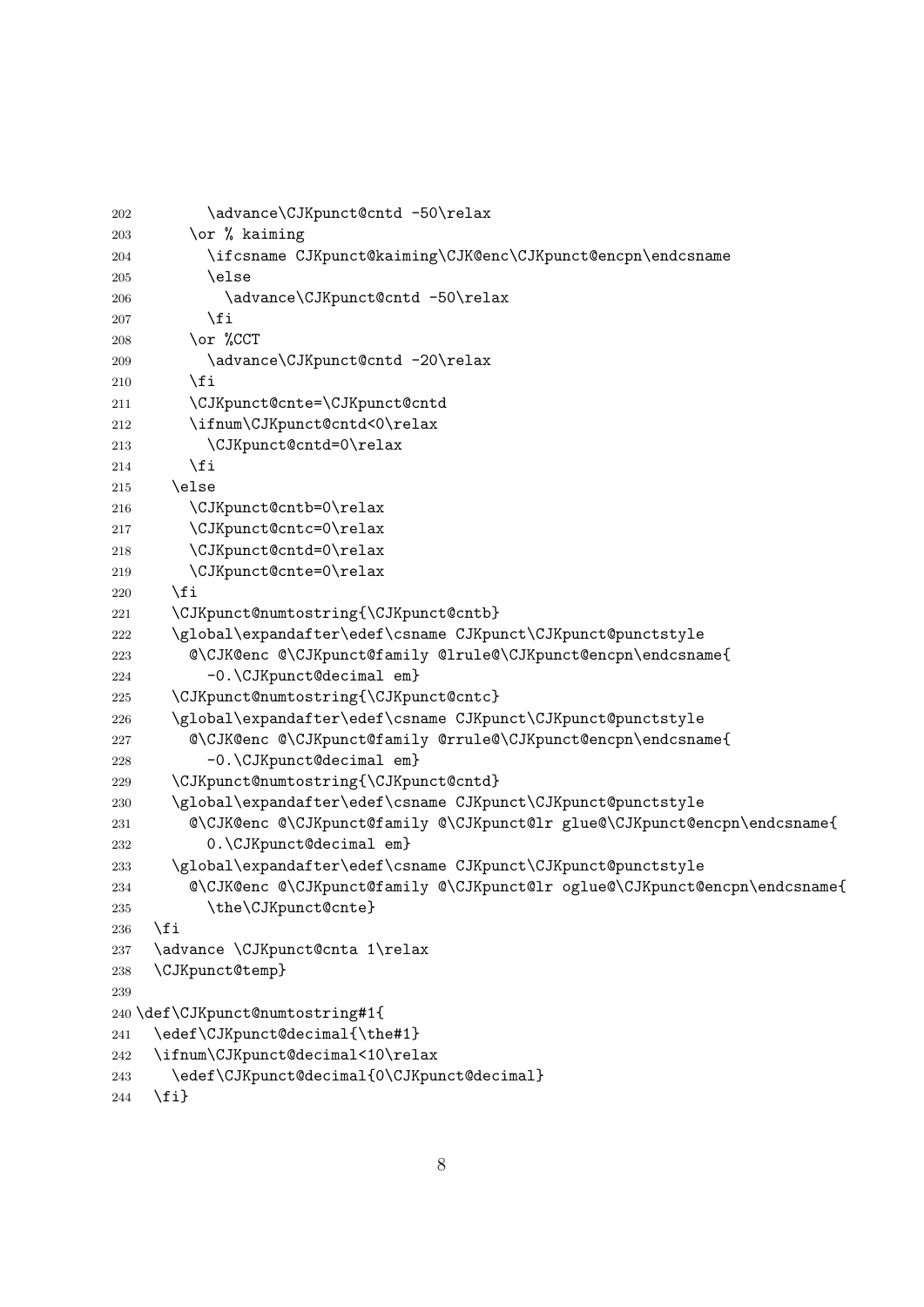```
202 \advance\CJKpunct@cntd -50\relax
203 \qquad \text{or } \text{\%} kaiming
204 \ifcsname CJKpunct@kaiming\CJK@enc\CJKpunct@encpn\endcsname
205 \else
206 \advance\CJKpunct@cntd -50\relax
207 \fi
208 \or %CCT
209 \advance\CJKpunct@cntd -20\relax
210 \qquad \qquad \fi
211 \CJKpunct@cnte=\CJKpunct@cntd
212 \ifnum\CJKpunct@cntd<0\relax
213 \CJKpunct@cntd=0\relax
214 \setminusfi
215 \else
216 \CJKpunct@cntb=0\relax
217 \CJKpunct@cntc=0\relax
218 \CJKpunct@cntd=0\relax
219 \CJKpunct@cnte=0\relax
220 \setminusfi
221 \CJKpunct@numtostring{\CJKpunct@cntb}
222 \global\expandafter\edef\csname CJKpunct\CJKpunct@punctstyle
223 @\CJK@enc @\CJKpunct@family @lrule@\CJKpunct@encpn\endcsname{
224 -0.\CJKpunct@decimal em}
225 \CJKpunct@numtostring{\CJKpunct@cntc}
226 \global\expandafter\edef\csname CJKpunct\CJKpunct@punctstyle
227 @\CJK@enc @\CJKpunct@family @rrule@\CJKpunct@encpn\endcsname{
228 -0.\CJKpunct@decimal em}
229 \CJKpunct@numtostring{\CJKpunct@cntd}
230 \global\expandafter\edef\csname CJKpunct\CJKpunct@punctstyle
231 @\CJK@enc @\CJKpunct@family @\CJKpunct@lr glue@\CJKpunct@encpn\endcsname{
232 0.\CJKpunct@decimal em}
233 \global\expandafter\edef\csname CJKpunct\CJKpunct@punctstyle
234 @\CJK@enc @\CJKpunct@family @\CJKpunct@lr oglue@\CJKpunct@encpn\endcsname{
235 \the\CJKpunct@cnte}
236 \fi
237 \advance \CJKpunct@cnta 1\relax
238 \CJKpunct@temp}
239
240 \def\CJKpunct@numtostring#1{
241 \edef\CJKpunct@decimal{\the#1}
242 \ifnum\CJKpunct@decimal<10\relax
243 \edef\CJKpunct@decimal{0\CJKpunct@decimal}
244 \{f_i\}
```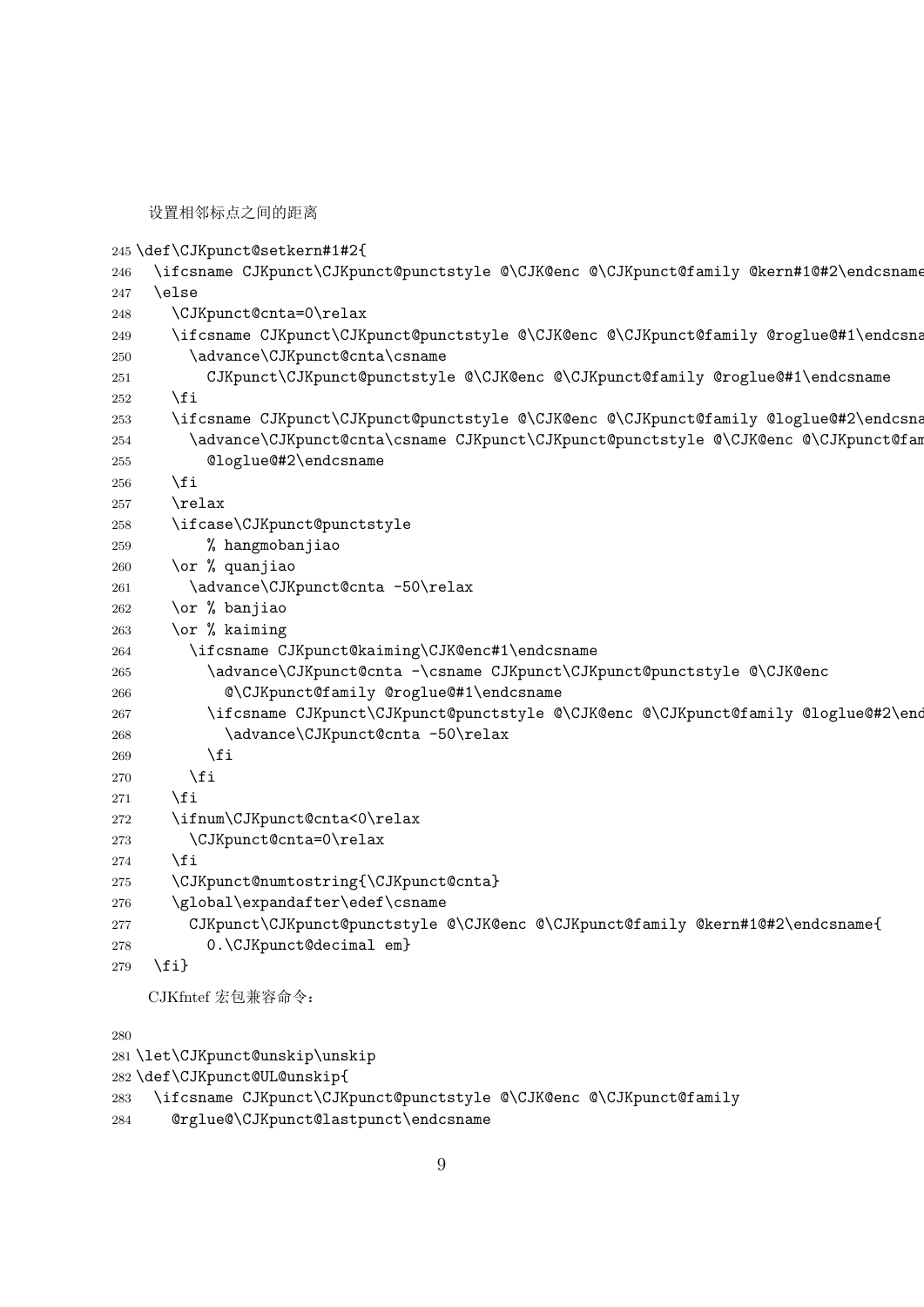设置相邻标点之间的距离

<span id="page-8-29"></span><span id="page-8-28"></span><span id="page-8-25"></span><span id="page-8-21"></span><span id="page-8-20"></span><span id="page-8-13"></span><span id="page-8-8"></span><span id="page-8-7"></span><span id="page-8-6"></span><span id="page-8-5"></span><span id="page-8-2"></span><span id="page-8-1"></span><span id="page-8-0"></span>

|     | 245 \def\CJKpunct@setkern#1#2{                                                          |
|-----|-----------------------------------------------------------------------------------------|
| 246 | \ifcsname CJKpunct\CJKpunct@punctstyle @\CJK@enc @\CJKpunct@family @kern#1@#2\endcsname |
| 247 | \else                                                                                   |
| 248 | \CJKpunct@cnta=0\relax                                                                  |
| 249 | \ifcsname CJKpunct\CJKpunct@punctstyle @\CJK@enc @\CJKpunct@family @roglue@#1\endcsna   |
| 250 | \advance\CJKpunct@cnta\csname                                                           |
| 251 | CJKpunct\CJKpunct@punctstyle @\CJK@enc @\CJKpunct@family @roglue@#1\endcsname           |
| 252 | \fi                                                                                     |
| 253 | \ifcsname CJKpunct\CJKpunct@punctstyle @\CJK@enc @\CJKpunct@family @loglue@#2\endcsna   |
| 254 | \advance\CJKpunct@cnta\csname CJKpunct\CJKpunct@punctstyle @\CJK@enc @\CJKpunct@fam     |
| 255 | @loglue@#2\endcsname                                                                    |
| 256 | \fi                                                                                     |
| 257 | \relax                                                                                  |
| 258 | \ifcase\CJKpunct@punctstyle                                                             |
| 259 | % hangmobanjiao                                                                         |
| 260 | \or % quanjiao                                                                          |
| 261 | \advance\CJKpunct@cnta -50\relax                                                        |
| 262 | \or % banjiao                                                                           |
| 263 | \or % kaiming                                                                           |
| 264 | \ifcsname CJKpunct@kaiming\CJK@enc#1\endcsname                                          |
| 265 | \advance\CJKpunct@cnta -\csname CJKpunct\CJKpunct@punctstyle @\CJK@enc                  |
| 266 | @\CJKpunct@family @roglue@#1\endcsname                                                  |
| 267 | \ifcsname CJKpunct\CJKpunct@punctstyle @\CJK@enc @\CJKpunct@family @loglue@#2\end       |
| 268 | \advance\CJKpunct@cnta -50\relax                                                        |
| 269 | \fi                                                                                     |
| 270 | \fi                                                                                     |
| 271 | \fi                                                                                     |
| 272 | \ifnum\CJKpunct@cnta<0\relax                                                            |
| 273 | \CJKpunct@cnta=0\relax                                                                  |
| 274 | \fi                                                                                     |
| 275 | \CJKpunct@numtostring{\CJKpunct@cnta}                                                   |
| 276 | \global\expandafter\edef\csname                                                         |
| 277 | CJKpunct\CJKpunct@punctstyle @\CJK@enc @\CJKpunct@family @kern#1@#2\endcsname{          |
| 278 | 0.\CJKpunct@decimal em}                                                                 |
| 279 | $\{fi\}$                                                                                |
|     |                                                                                         |

<span id="page-8-30"></span><span id="page-8-27"></span><span id="page-8-26"></span><span id="page-8-24"></span><span id="page-8-18"></span><span id="page-8-17"></span><span id="page-8-16"></span><span id="page-8-15"></span><span id="page-8-14"></span><span id="page-8-11"></span><span id="page-8-10"></span><span id="page-8-9"></span><span id="page-8-4"></span><span id="page-8-3"></span>CJKfntef 宏包兼容命令:

<span id="page-8-23"></span><span id="page-8-22"></span><span id="page-8-19"></span><span id="page-8-12"></span> \let\CJKpunct@unskip\unskip \def\CJKpunct@UL@unskip{ \ifcsname CJKpunct\CJKpunct@punctstyle @\CJK@enc @\CJKpunct@family @rglue@\CJKpunct@lastpunct\endcsname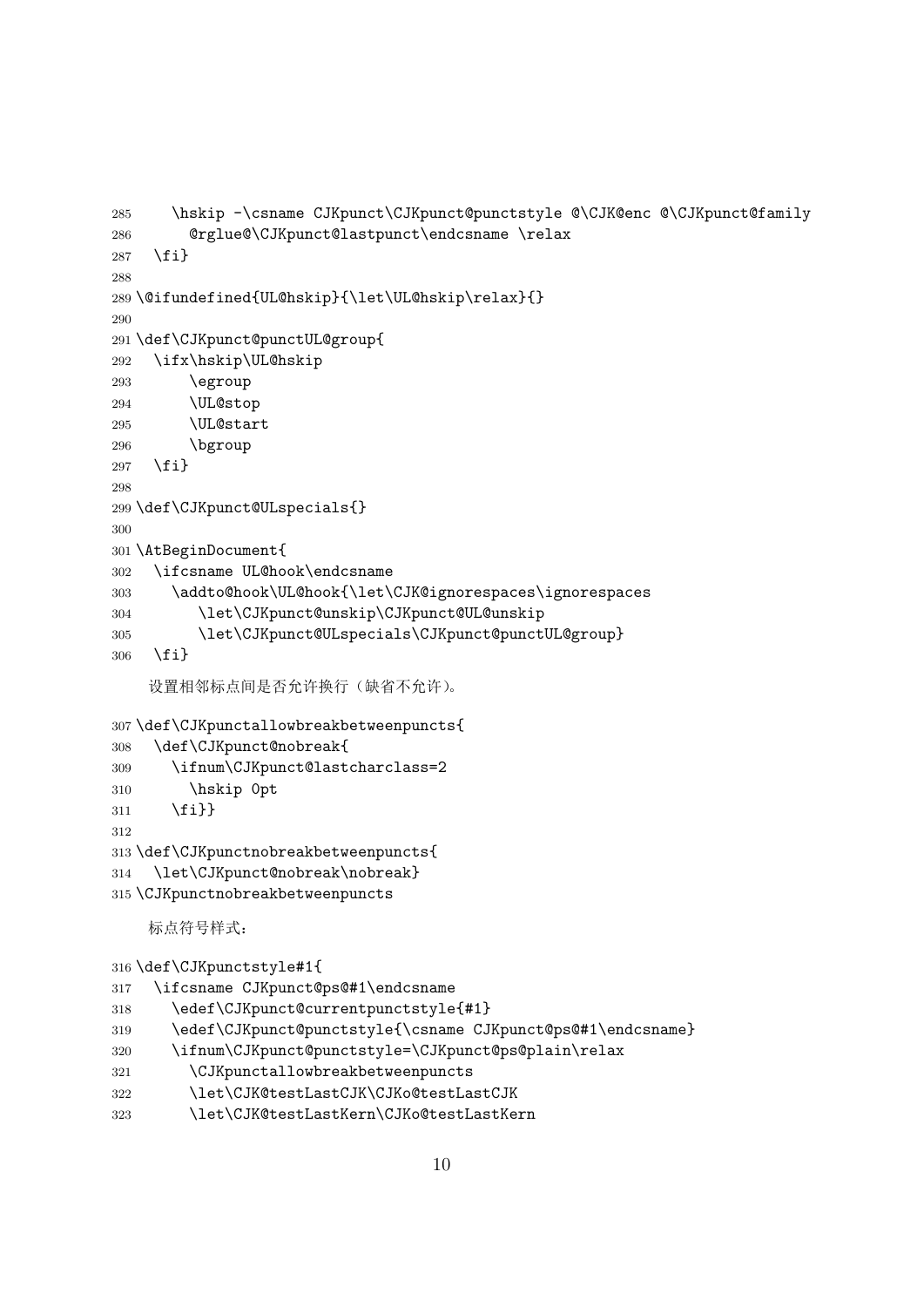```
285 \hskip -\csname CJKpunct\CJKpunct@punctstyle @\CJK@enc @\CJKpunct@family
286 @rglue@\CJKpunct@lastpunct\endcsname \relax
287 \fi}
288
289 \@ifundefined{UL@hskip}{\let\UL@hskip\relax}{}
290
291 \def\CJKpunct@punctUL@group{
292 \ifx\hskip\UL@hskip
293 \egroup
294 \UL@stop
295 \UL@start
296 \bgroup
297 \fi}
298
299 \def\CJKpunct@ULspecials{}
300
301 \AtBeginDocument{
302 \ifcsname UL@hook\endcsname
303 \addto@hook\UL@hook{\let\CJK@ignorespaces\ignorespaces
304 \let\CJKpunct@unskip\CJKpunct@UL@unskip
305 \let\CJKpunct@ULspecials\CJKpunct@punctUL@group}
306 \fi}
    设置相邻标点间是否允许换行(缺省不允许)。
307 \def\CJKpunctallowbreakbetweenpuncts{
308 \def\CJKpunct@nobreak{
309 \ifnum\CJKpunct@lastcharclass=2
310 \hskip 0pt
311 \fi}}
312
313 \def\CJKpunctnobreakbetweenpuncts{
314 \let\CJKpunct@nobreak\nobreak}
315 \CJKpunctnobreakbetweenpuncts
    标点符号样式:
316 \def\CJKpunctstyle#1{
317 \ifcsname CJKpunct@ps@#1\endcsname
318 \edef\CJKpunct@currentpunctstyle{#1}
319 \edef\CJKpunct@punctstyle{\csname CJKpunct@ps@#1\endcsname}
320 \ifnum\CJKpunct@punctstyle=\CJKpunct@ps@plain\relax
321 \CJKpunctallowbreakbetweenpuncts
322 \let\CJK@testLastCJK\CJKo@testLastCJK
```
<span id="page-9-29"></span><span id="page-9-27"></span><span id="page-9-23"></span><span id="page-9-20"></span><span id="page-9-19"></span><span id="page-9-18"></span><span id="page-9-17"></span><span id="page-9-16"></span><span id="page-9-11"></span><span id="page-9-10"></span><span id="page-9-9"></span><span id="page-9-8"></span><span id="page-9-6"></span><span id="page-9-5"></span><span id="page-9-4"></span>\let\CJK@testLastKern\CJKo@testLastKern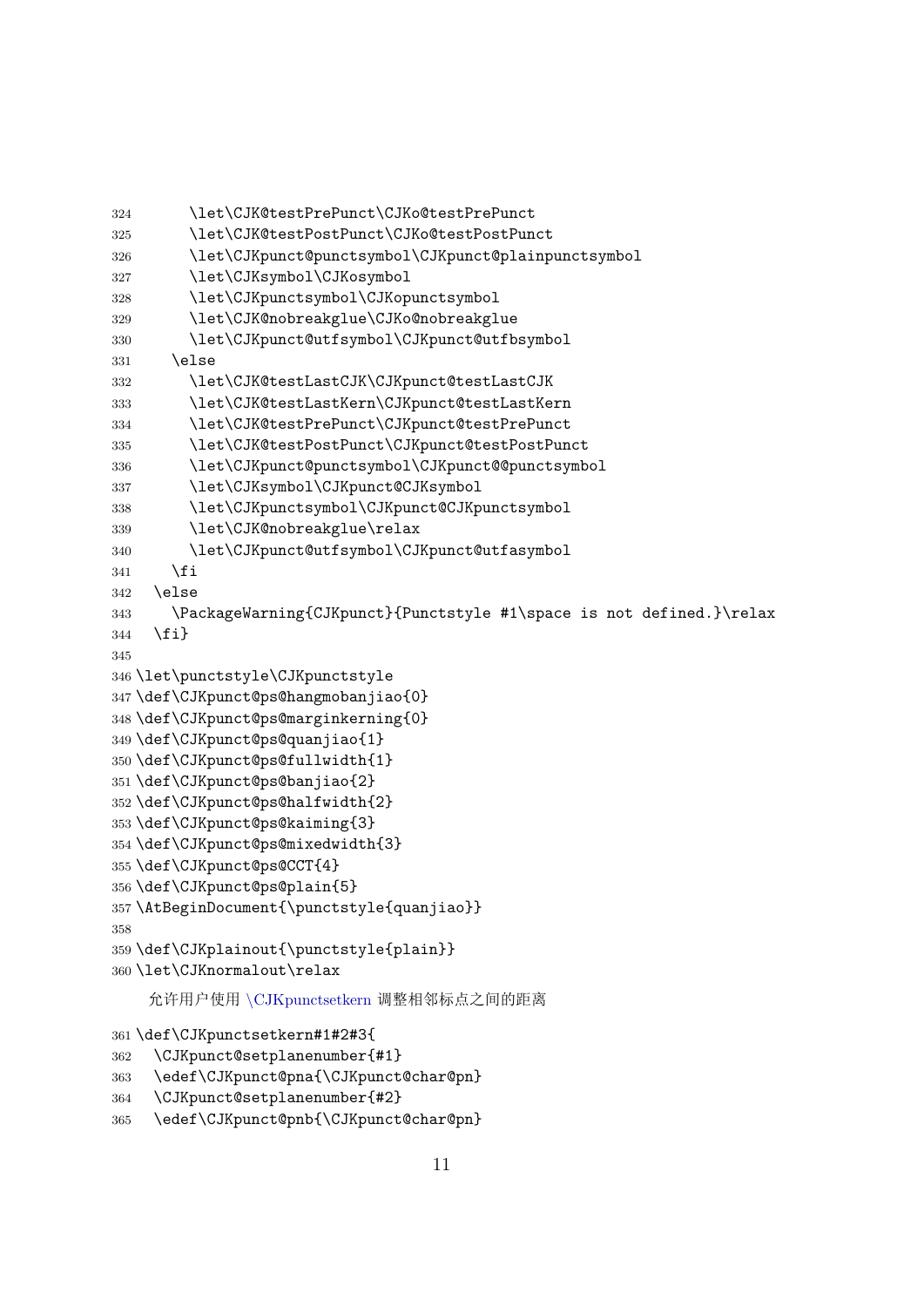```
324 \let\CJK@testPrePunct\CJKo@testPrePunct
325 \let\CJK@testPostPunct\CJKo@testPostPunct
326 \let\CJKpunct@punctsymbol\CJKpunct@plainpunctsymbol
327 \let\CJKsymbol\CJKosymbol
328 \let\CJKpunctsymbol\CJKopunctsymbol
329 \let\CJK@nobreakglue\CJKo@nobreakglue
330 \let\CJKpunct@utfsymbol\CJKpunct@utfbsymbol
331 \else
332 \let\CJK@testLastCJK\CJKpunct@testLastCJK
333 \let\CJK@testLastKern\CJKpunct@testLastKern
334 \let\CJK@testPrePunct\CJKpunct@testPrePunct
335 \let\CJK@testPostPunct\CJKpunct@testPostPunct
336 \let\CJKpunct@punctsymbol\CJKpunct@@punctsymbol
337 \let\CJKsymbol\CJKpunct@CJKsymbol
338 \let\CJKpunctsymbol\CJKpunct@CJKpunctsymbol
339 \let\CJK@nobreakglue\relax
340 \let\CJKpunct@utfsymbol\CJKpunct@utfasymbol
341 \fi
342 \else
343 \PackageWarning{CJKpunct}{Punctstyle #1\space is not defined.}\relax
344 \fi}
345
346 \let\punctstyle\CJKpunctstyle
347 \def\CJKpunct@ps@hangmobanjiao{0}
348 \def\CJKpunct@ps@marginkerning{0}
349 \def\CJKpunct@ps@quanjiao{1}
350 \def\CJKpunct@ps@fullwidth{1}
351 \def\CJKpunct@ps@banjiao{2}
352 \def\CJKpunct@ps@halfwidth{2}
353 \def\CJKpunct@ps@kaiming{3}
354 \def\CJKpunct@ps@mixedwidth{3}
355 \def\CJKpunct@ps@CCT{4}
356 \def\CJKpunct@ps@plain{5}
357 \AtBeginDocument{\punctstyle{quanjiao}}
358
359 \def\CJKplainout{\punctstyle{plain}}
360 \let\CJKnormalout\relax
    允许用户使用 \CJKpunctsetkern 调整相邻标点之间的距离
```

```
361 \def\CJKpunctsetkern#1#2#3{
362 \CJKpunct@setplanenumber{#1}
```

```
363 \edef\CJKpunct@pna{\CJKpunct@char@pn}
```

```
364 \CJKpunct@setplanenumber{#2}
```

```
365 \edef\CJKpunct@pnb{\CJKpunct@char@pn}
```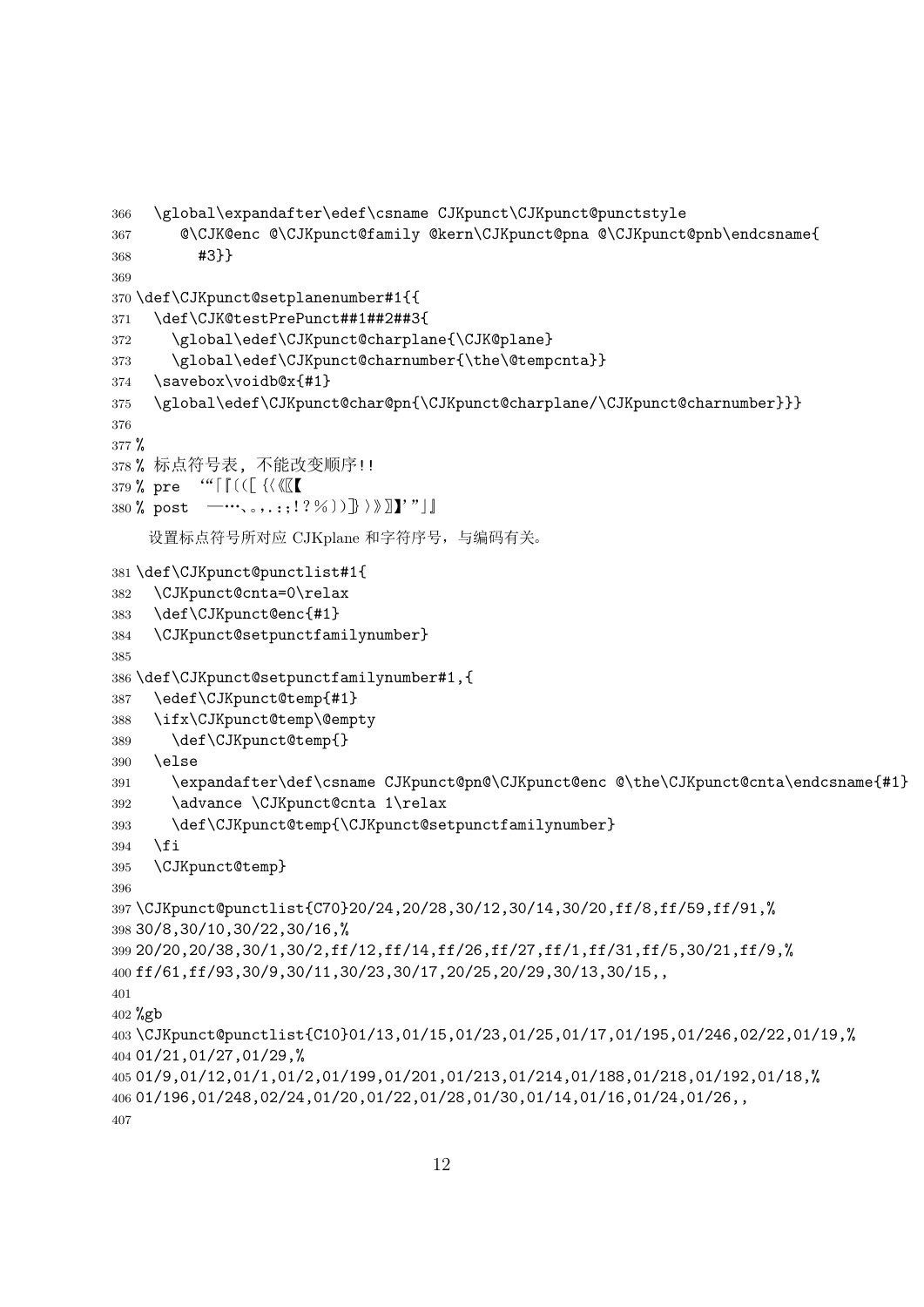```
366 \global\expandafter\edef\csname CJKpunct\CJKpunct@punctstyle
367 @\CJK@enc @\CJKpunct@family @kern\CJKpunct@pna @\CJKpunct@pnb\endcsname{
368 #3}}
369
370 \def\CJKpunct@setplanenumber#1{{
371 \def\CJK@testPrePunct##1##2##3{
372 \global\edef\CJKpunct@charplane{\CJK@plane}
373 \global\edef\CJKpunct@charnumber{\the\@tempcnta}}
374 \savebox\voidb@x{#1}
375 \global\edef\CJKpunct@char@pn{\CJKpunct@charplane/\CJKpunct@charnumber}}}
376
377 %
378 % 标点符号表, 不能改变顺序!!
379 % pre '"「『〔([{〈《〖【
380 % post -\cdots, , , .:;!?%) } > > \llbracket \cdot \cdot \cdot \cdot \cdot \rrbracket设置标点符号所对应 CJKplane 和字符序号,与编码有关。
381 \def\CJKpunct@punctlist#1{
382 \CJKpunct@cnta=0\relax
383 \def\CJKpunct@enc{#1}
384 \CJKpunct@setpunctfamilynumber}
385
386 \def\CJKpunct@setpunctfamilynumber#1,{
387 \edef\CJKpunct@temp{#1}
388 \ifx\CJKpunct@temp\@empty
389 \def\CJKpunct@temp{}
390 \else
391 \expandafter\def\csname CJKpunct@pn@\CJKpunct@enc @\the\CJKpunct@cnta\endcsname{#1}
392 \advance \CJKpunct@cnta 1\relax
393 \def\CJKpunct@temp{\CJKpunct@setpunctfamilynumber}
394 \fi
395 \CJKpunct@temp}
396
397 \CJKpunct@punctlist{C70}20/24,20/28,30/12,30/14,30/20,ff/8,ff/59,ff/91,%
398 30/8,30/10,30/22,30/16,%
399 20/20,20/38,30/1,30/2,ff/12,ff/14,ff/26,ff/27,ff/1,ff/31,ff/5,30/21,ff/9,%
400 ff/61,ff/93,30/9,30/11,30/23,30/17,20/25,20/29,30/13,30/15,,
401
402 %gb
403 \CJKpunct@punctlist{C10}01/13,01/15,01/23,01/25,01/17,01/195,01/246,02/22,01/19,%
404 01/21,01/27,01/29,%
405 01/9,01/12,01/1,01/2,01/199,01/201,01/213,01/214,01/188,01/218,01/192,01/18,%
406 01/196,01/248,02/24,01/20,01/22,01/28,01/30,01/14,01/16,01/24,01/26,,
407
```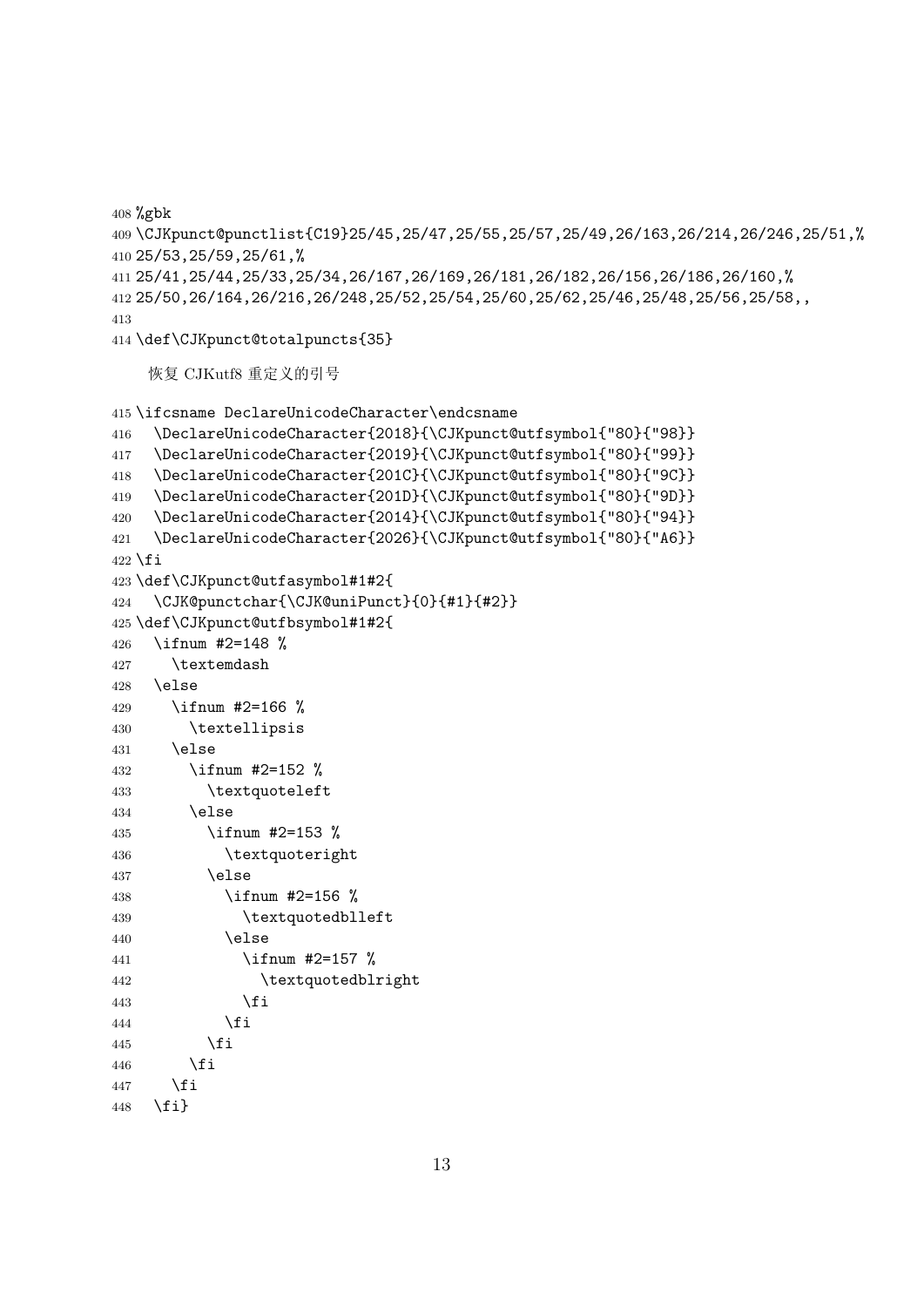%gbk

```
409 \CJKpunct@punctlist{C19}25/45,25/47,25/55,25/57,25/49,26/163,26/214,26/246,25/51,%
410 25/53,25/59,25/61,%
411 25/41,25/44,25/33,25/34,26/167,26/169,26/181,26/182,26/156,26/186,26/160,%
412 25/50,26/164,26/216,26/248,25/52,25/54,25/60,25/62,25/46,25/48,25/56,25/58,,
413
```
<span id="page-12-2"></span>\def\CJKpunct@totalpuncts{35}

恢复 CJKutf8 重定义的引号

```
415 \ifcsname DeclareUnicodeCharacter\endcsname
416 \DeclareUnicodeCharacter{2018}{\CJKpunct@utfsymbol{"80}{"98}}
417 \DeclareUnicodeCharacter{2019}{\CJKpunct@utfsymbol{"80}{"99}}
418 \DeclareUnicodeCharacter{201C}{\CJKpunct@utfsymbol{"80}{"9C}}
419 \DeclareUnicodeCharacter{201D}{\CJKpunct@utfsymbol{"80}{"9D}}
420 \DeclareUnicodeCharacter{2014}{\CJKpunct@utfsymbol{"80}{"94}}
421 \DeclareUnicodeCharacter{2026}{\CJKpunct@utfsymbol{"80}{"A6}}
422 \fi
423 \def\CJKpunct@utfasymbol#1#2{
424 \CJK@punctchar{\CJK@uniPunct}{0}{#1}{#2}}
425 \def\CJKpunct@utfbsymbol#1#2{
426 \ifnum #2=148 %
427 \textemdash
428 \else
429 \ifnum #2=166 %
430 \textellipsis
431 \else
432 \ifnum #2=152 %
433 \textquoteleft
434 \text{le}435 \ifnum #2=153 %
436 \textquoteright
437 \else
438 \ifnum #2=156 %
439 \textquotedblleft
440 \else
441 \ifnum #2=157 %
442 \textquotedblright
443 \quad \text{If }444 \qquad \qquad \text{if }445 \fi
446 \fi
447 \fi
448 \fi}
```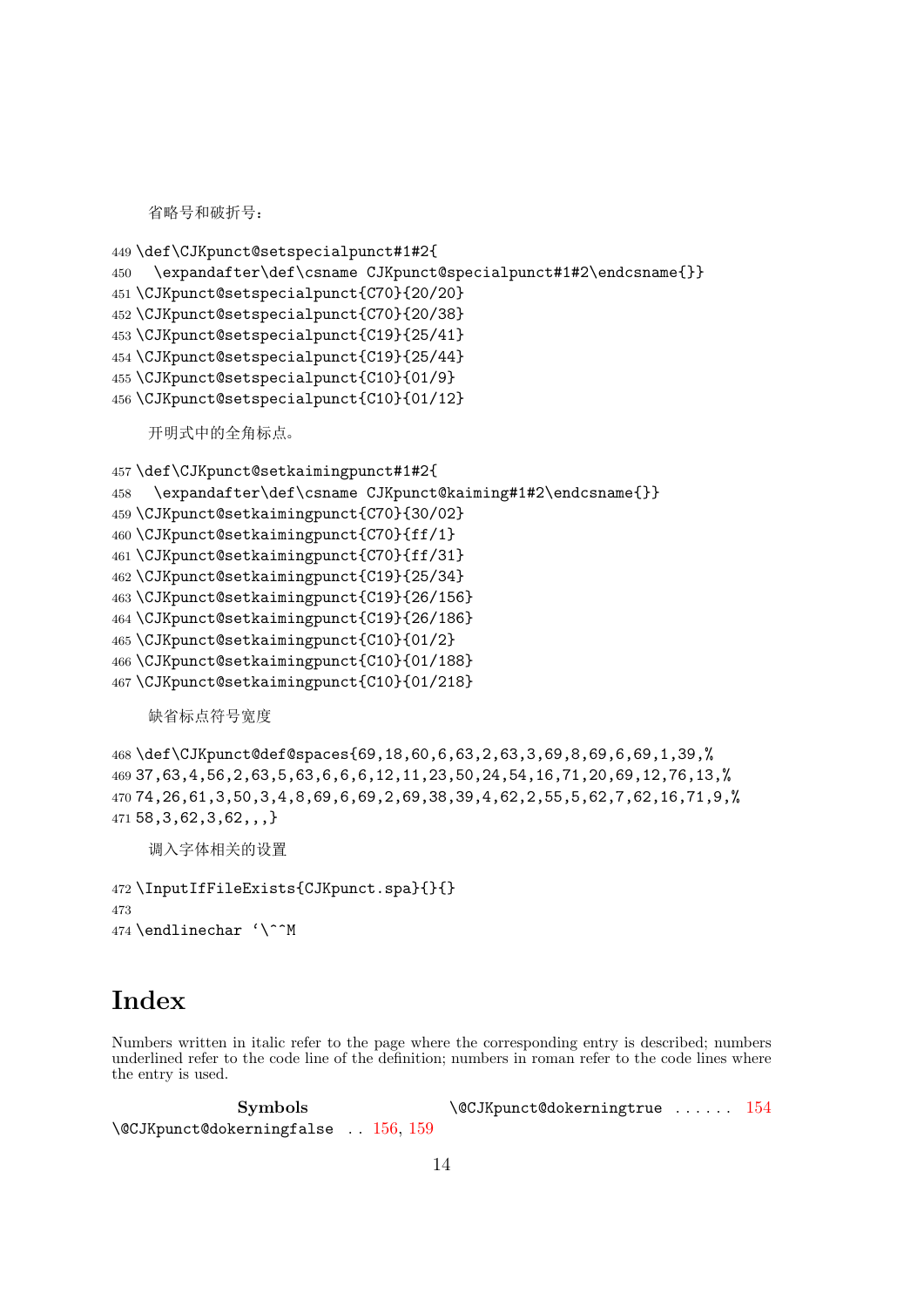省略号和破折号:

```
449 \def\CJKpunct@setspecialpunct#1#2{
450 \expandafter\def\csname CJKpunct@specialpunct#1#2\endcsname{}}
451 \CJKpunct@setspecialpunct{C70}{20/20}
452 \CJKpunct@setspecialpunct{C70}{20/38}
453 \CJKpunct@setspecialpunct{C19}{25/41}
454 \CJKpunct@setspecialpunct{C19}{25/44}
455 \CJKpunct@setspecialpunct{C10}{01/9}
456 \CJKpunct@setspecialpunct{C10}{01/12}
    开明式中的全角标点。
457 \def\CJKpunct@setkaimingpunct#1#2{
458 \expandafter\def\csname CJKpunct@kaiming#1#2\endcsname{}}
459 \CJKpunct@setkaimingpunct{C70}{30/02}
460 \CJKpunct@setkaimingpunct{C70}{ff/1}
461 \CJKpunct@setkaimingpunct{C70}{ff/31}
462 \CJKpunct@setkaimingpunct{C19}{25/34}
463 \CJKpunct@setkaimingpunct{C19}{26/156}
464 \CJKpunct@setkaimingpunct{C19}{26/186}
465 \CJKpunct@setkaimingpunct{C10}{01/2}
466 \CJKpunct@setkaimingpunct{C10}{01/188}
467 \CJKpunct@setkaimingpunct{C10}{01/218}
    缺省标点符号宽度
```
<span id="page-13-19"></span><span id="page-13-10"></span><span id="page-13-9"></span><span id="page-13-8"></span><span id="page-13-7"></span><span id="page-13-6"></span><span id="page-13-5"></span><span id="page-13-4"></span><span id="page-13-3"></span><span id="page-13-2"></span> \def\CJKpunct@def@spaces{69,18,60,6,63,2,63,3,69,8,69,6,69,1,39,% 37,63,4,56,2,63,5,63,6,6,6,12,11,23,50,24,54,16,71,20,69,12,76,13,% 74,26,61,3,50,3,4,8,69,6,69,2,69,38,39,4,62,2,55,5,62,7,62,16,71,9,% 58,3,62,3,62,,,}

<span id="page-13-1"></span>调入字体相关的设置

```
472 \InputIfFileExists{CJKpunct.spa}{}{}
473
474 \endlinechar '\^^M
```
# <span id="page-13-0"></span>**Index**

Numbers written in italic refer to the page where the corresponding entry is described; numbers underlined refer to the code line of the definition; numbers in roman refer to the code lines where the entry is used.

**Symbols** \@CJKpunct@dokerningfalse . . 156, 159 \@CJKpunct@dokerningtrue . . . . . . 154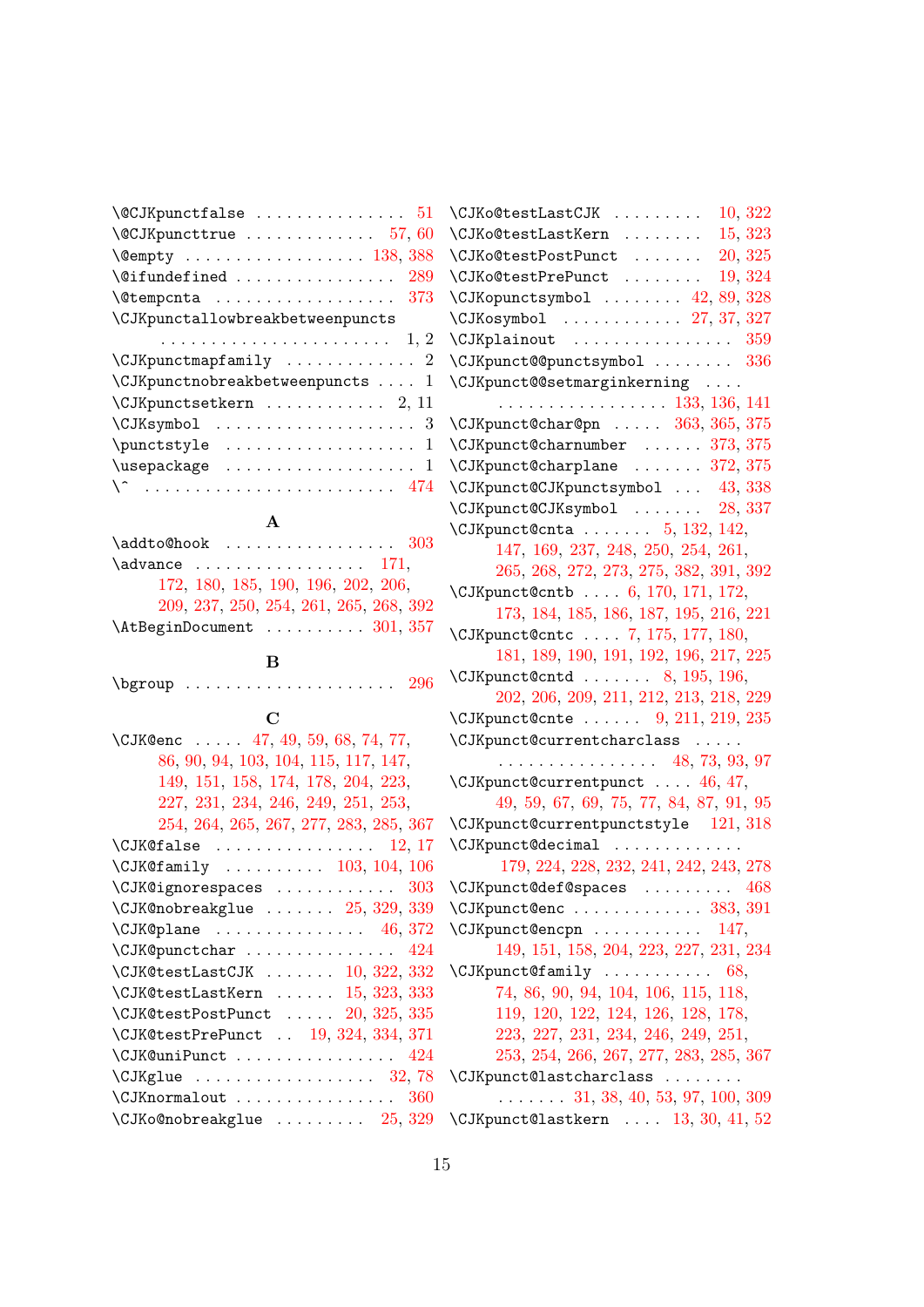| $\C$ JKpunctfalse<br>51                   |
|-------------------------------------------|
|                                           |
|                                           |
| 289<br>$\setminus$ @ifundefined           |
| 373<br><b>\@tempcnta</b>                  |
| \CJKpunctallowbreakbetweenpuncts          |
|                                           |
| $\Upsilon$ JKpunctmapfamily  2            |
| $\Upsilon$ JKpunctnobreakbetweenpuncts  1 |
| $\Upsilon$ JKpunctsetkern  2, 11          |
|                                           |
| $\text{yle} \ldots \ldots \ldots 1$       |
|                                           |
|                                           |
|                                           |

# **A**

| $\addto \mathbb{Q}$ hook  303          |  |
|----------------------------------------|--|
| $\lambda$ advance  171,                |  |
| 172, 180, 185, 190, 196, 202, 206,     |  |
| 209, 237, 250, 254, 261, 265, 268, 392 |  |
| $\Lambda t$ BeginDocument  301, 357    |  |

# **[B](#page-6-0)**

 $\begin{bmatrix} \text{degree} \ \text{degree} \ \text{degree} \ \text{degree} \ \text{degree} \ \text{degree} \ \text{degree} \ \text{degree} \ \text{degree} \ \text{degree} \ \text{degree} \ \text{degree} \ \text{degree} \ \text{degree} \ \text{degree} \ \text{degree} \ \text{degree} \ \text{degree} \ \text{degree} \ \text{degree} \ \text{degree} \ \text{degree} \ \text{degree} \ \text{degree} \ \text{degree} \ \text{degree} \ \text{degree} \ \text{degree} \ \text{degree} \ \text{degree} \ \text{degree} \ \text{degree} \ \text{degree} \ \text{degree} \ \text{degree} \ \text{degree$ 

# **C**

| \CJK@enc $47, 49, 59, 68, 74, 77,$                      |
|---------------------------------------------------------|
| 86, 90, 94, 103, 104, 115, 117, 147,                    |
| 149, 151, 158, 174, 178, 204, 223,                      |
| 227, 231, 234, 246, 249, 251, 253,                      |
| 254, 264, 265, 267, 277, 283, 285, 367                  |
| $\setminus$ CJK@false  12,17                            |
| $\text{CJK@family } \ldots \ldots \ldots 103, 104, 106$ |
| $\setminus$ CJK@ignorespaces  303                       |
| $\setminus$ CJK@nobreakglue $25, 329, 339$              |
| $\Upsilon$ JK@plane  46, 372                            |
| \CJK@punctchar  424                                     |
| $\CJK@testLastCJK \dots \dots \ 10, 322, 332$           |
| $\setminus$ CJK@testLastKern $15, 323, 333$             |
| $\setminus$ CJK@testPostPunct  20, 325, 335             |
| \CJK@testPrePunct  19, 324, 334, 371                    |
| \CJK@uniPunct  424                                      |
| $\Upsilon$ JKglue  32,78                                |
| $\setminus$ CJKnormalout  360                           |
| $\setminus$ CJKo@nobreakglue $25, 329$                  |
|                                                         |

| $\setminus$ CJKo@testLastCJK  10, $322$             |
|-----------------------------------------------------|
| $\setminus$ CJKo@testLastKern $15,323$              |
| 20, 325<br>\CJKo@testPostPunct                      |
| \CJKo@testPrePunct<br>19, 324                       |
| $\setminus$ CJKopunctsymbol $42, 89, 328$           |
| $\Upsilon$ JKosymbol  27, 37, 327                   |
| $\Upsilon$ JKplainout  359                          |
| \CJKpunct@@punctsymbol  336                         |
| \CJKpunct@@setmarginkerning                         |
| $\cdots$ 133, 136, 141                              |
| \CJKpunct@char@pn  363, 365, 375                    |
| \CJKpunct@charnumber  373, 375                      |
| $\Upsilon$ JKpunct@charplane  372, 375              |
| \CJKpunct@CJKpunctsymbol  43, 338                   |
| \CJKpunct@CJKsymbol  28, 337                        |
| $\Upsilon$ JKpunct@cnta  5, 132, 142,               |
| 147, 169, 237, 248, 250, 254, 261,                  |
| 265, 268, 272, 273, 275, 382, 391, 392              |
| \CJKpunct@cntb  6, 170, 171, 172,                   |
| 173, 184, 185, 186, 187, 195, 216, 221              |
| \CJKpunct@cntc  7, 175, 177, 180,                   |
| 181, 189, 190, 191, 192, 196, 217, 225              |
| $\Upsilon$ JKpunct@cntd  8, 195, 196,               |
| 202, 206, 209, 211, 212, 213, 218, 229              |
| $\Upsilon$ JKpunct@cnte  9, 211, 219, 235           |
| \CJKpunct@currentcharclass<br>$\sim 1.1$ , $\sim$   |
| $\cdots \cdots \cdots \cdots \cdots$ 48, 73, 93, 97 |
| \CJKpunct@currentpunct  46, 47,                     |
| 49, 59, 67, 69, 75, 77, 84, 87, 91, 95              |
| \CJKpunct@currentpunctstyle 121, 318                |
| \CJKpunct@decimal                                   |
| 179, 224, 228, 232, 241, 242, 243, 278              |
| \CJKpunct@def@spaces<br>468                         |
| \CJKpunct@enc  383, 391                             |
| \CJKpunct@encpn<br>147,                             |
| 149, 151, 158, 204, 223, 227, 231, 234              |
| $\Upsilon$ JKpunct@family  68,                      |
| 74, 86, 90, 94, 104, 106, 115, 118,                 |
| 119, 120, 122, 124, 126, 128, 178,                  |
| 223, 227, 231, 234, 246, 249, 251,                  |
| 253, 254, 266, 267, 277, 283, 285, 367              |
| \CJKpunct@lastcharclass                             |
| $\ldots$ $\ldots$ 31, 38, 40, 53, 97, 100, 309      |
| $\Upsilon$ JKpunct@lastkern  13, 30, 41, 52         |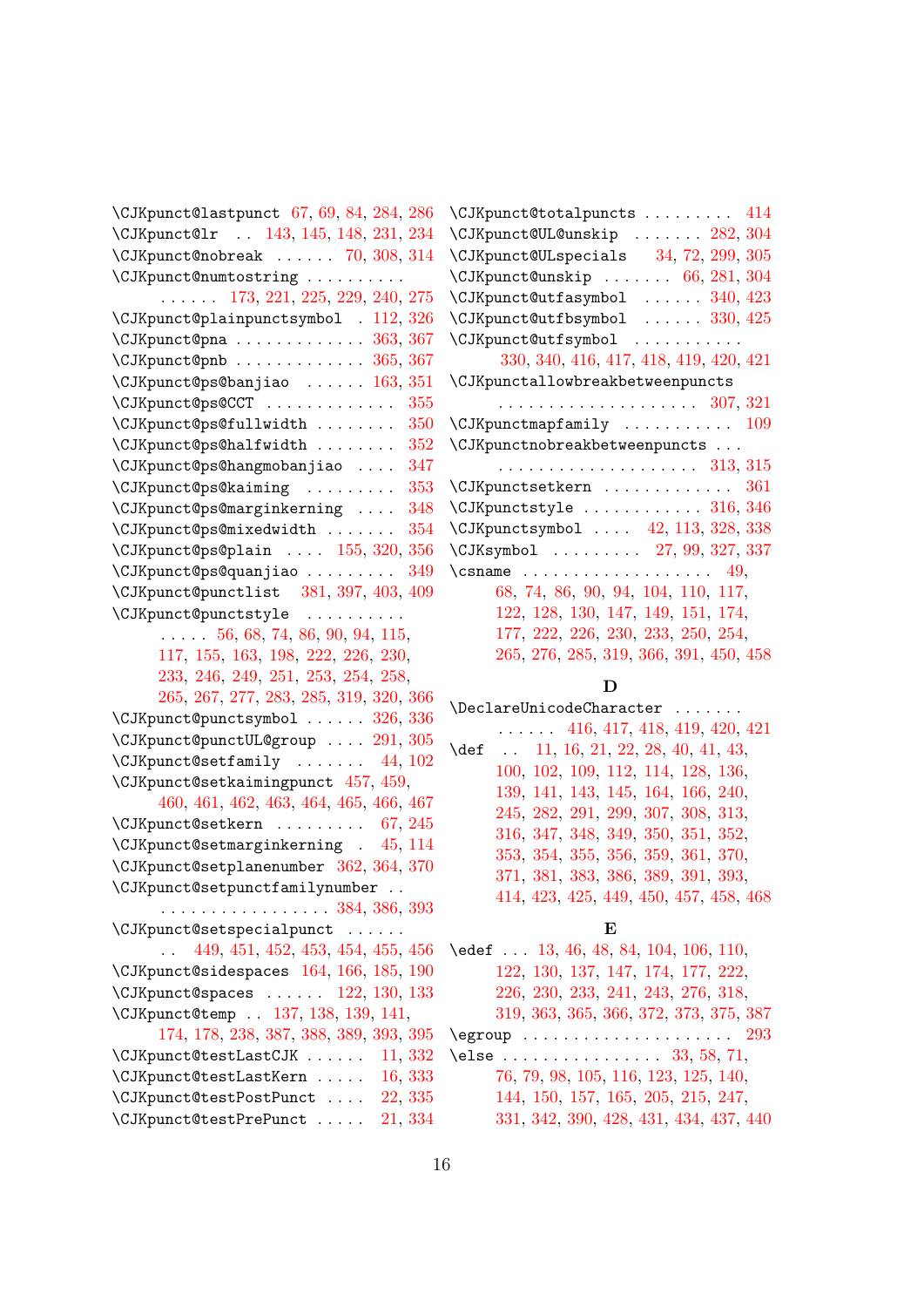\CJKpunct@lastpunct 67, 69, 84, 284, 286 \CJKpunct@lr . . 143, 145, 148, 231, 234  $\Upsilon$ JKpunct@nobreak . . . . . . 70, 308, 314 \CJKpunct@numtostring . . . . . . . . . . . . . . . . 173, 221, [2](#page-3-14)[25,](#page-3-15) 2[29,](#page-4-10) [240,](#page-8-19) [275](#page-9-7) \CJKpunct@plainpu[ncts](#page-5-19)[ymbo](#page-5-20)[l](#page-5-21) . [112,](#page-7-5) [326](#page-7-6)  $\text{CJKpunct@pna}$ ................. [363,](#page-9-8) [367](#page-9-9) \CJKpunct@pnb . . . . . . . . . . . . . 365, 367 \CJKpunct@ps@[banj](#page-6-8)[iao](#page-7-8) [. .](#page-7-25) . [. . .](#page-7-16) [163,](#page-7-26) [351](#page-8-16) \CJKpunct@ps@CCT . . . . . . . . . . [. . .](#page-4-14) [355](#page-10-17) \CJKpunct@ps@fullwidth ........ [350](#page-11-3) \CJKpunct@ps@halfwidth . . . . . [. . .](#page-10-14) [352](#page-11-3) \CJKpunct@ps@hangmobanjiao . [. . .](#page-6-23) [347](#page-10-18) \CJKpunct@ps@kaiming . . . . . . . . . [353](#page-10-19) \CJKpunct@ps@marginkerning . . . . [348](#page-10-20) \CJKpunct@ps@mixedwidth . . . . . . . [354](#page-10-21) \CJKpunct@ps@plain . . . . 155, 320, [356](#page-10-22) \CJKpunct@ps@quanjiao . . . . . . . . . [349](#page-10-23) \CJKpunct@punctlist 381, 397, 403, [409](#page-10-24) \CJKpunct@punctstyle . . . . . . . . . . . . . . . 56, 68, 74, 86, 9[0,](#page-5-22) 94, [115](#page-9-10)[,](#page-10-26) 117, 155, 163, 198, 222, 226, 230[,](#page-10-27) 233, 246, 249, 251, [253](#page-11-10), [254](#page-11-11), [258](#page-11-12)[,](#page-12-1) 265, 267, 277, 283, 285, 319, 320, 366 \CJKpunct@p[unc](#page-3-18)[tsy](#page-3-6)[mbo](#page-3-7)l [.](#page-4-1) . [. .](#page-4-2) . [.](#page-4-3) [326,](#page-5-1) 336 \CJKp[unct](#page-5-2)[@pun](#page-5-22)[ctUL](#page-6-23)[@gro](#page-6-24)[up](#page-7-27) . . [. .](#page-7-28) [291,](#page-7-29) 305 \CJKp[unct](#page-7-30)[@set](#page-8-5)[fami](#page-8-6)[ly](#page-8-7) . [. . .](#page-8-8) . [. .](#page-8-1) [44,](#page-8-20) 102 \CJKp[unct](#page-8-3)[@set](#page-8-10)[kaim](#page-8-11)[ingp](#page-8-12)[unct](#page-9-3) [457](#page-9-11), [459](#page-9-10)[,](#page-11-13) 460, 461, 462, 463, 464, 465, [466,](#page-10-17) [467](#page-10-12) \CJKpunct@setkern . . . . . . . . . [67,](#page-9-12) [245](#page-9-13) \CJKpunct@setmarginkerning . [45,](#page-3-19) [114](#page-4-15) \CJKpunct@setplanenumber [362,](#page-13-2) [364,](#page-13-3) 370 \CJKp[unct](#page-13-4)[@set](#page-13-5)[punc](#page-13-6)[tfam](#page-13-7)[ilyn](#page-13-8)[umbe](#page-13-9)r [.](#page-13-10) . . . . . . . . . . . . . . . . . . 384, 3[86,](#page-3-14) [393](#page-8-21) \CJKpunct@setspecialpunct . . . [. . .](#page-3-20) . . 449, 451, 452, 453, [454,](#page-10-28) [455,](#page-10-29) [456](#page-11-14) \CJKpunct@sidespaces 164, 166, 185, 190 \CJKpunct@spaces . . . . . . [122,](#page-11-15) [130,](#page-11-16) [133](#page-11-17) \CJKpunct@temp . . 137, 138, 139, 141, 174, [178](#page-13-11), [238](#page-13-12), [387](#page-13-13), [388,](#page-13-14) [389,](#page-13-15) [393,](#page-13-16) [395](#page-13-17) \CJKpunct@testLastCJK [. .](#page-6-25) . [. . .](#page-6-26) [11,](#page-6-10) [332](#page-6-0) \CJKpunct@testLastKern . . [. . .](#page-5-15) [16,](#page-5-23) [333](#page-5-6) \CJKpunct@testPost[Punc](#page-5-24)t [.](#page-5-0) . [. .](#page-5-25) [22,](#page-5-8) 335 \CJKp[unct](#page-6-2)[@tes](#page-6-3)[tPre](#page-7-31)[Punc](#page-11-18)t [.](#page-11-0) . [. . .](#page-11-19) [21,](#page-11-17) [334](#page-11-20)

| \CJKpunct@totalpuncts<br>414                                           |
|------------------------------------------------------------------------|
| $\setminus$ CJKpunct@UL@unskip $282,\,304$                             |
| $\setminus$ CJKpunct@ULspecials 34, 72, 299, 305                       |
| $\setminus$ CJKpunct@unskip  66, 281, 304                              |
| $\setminus$ CJKpunct@utfasymbol  340, 423                              |
| $\setminus$ CJKpunct@utfbsymbol  330, 425                              |
| \CJKpunct@utfsymbol<br>.                                               |
| 330, 340, 416, 417, 418, 419, 420, 421                                 |
| \CJKpunctallowbreakbetweenpuncts                                       |
| . 307, 321                                                             |
| \CJKpunctmapfamily<br>109                                              |
| \CJKpunctnobreakbetweenpuncts                                          |
| . 313, 315                                                             |
| \CJKpunctsetkern<br>361                                                |
| $\setminus$ CJKpunctstyle $\ldots \ldots \ldots \ldots \; 316, \, 346$ |
| \CJKpunctsymbol  42, 113, 328, 338                                     |
| $\text{CJKsymbol} \quad \ldots \quad \ldots \quad 27, 99, 327, 337$    |
| $\setminus$ csname                                                     |
| 68, 74, 86, 90, 94, 104, 110, 117,                                     |
| 122, 128, 130, 147, 149, 151, 174,                                     |
| 177, 222, 226, 230, 233, 250, 254,                                     |
| 265, 276, 285, 319, 366, 391, 450, 458                                 |
|                                                                        |

#### **[D](#page-5-3)**

|      | \DeclareUnicodeCharacter                 |
|------|------------------------------------------|
|      | $\ldots$ 416, 417, 418, 419, 420, 421    |
| \def | $\ldots$ 11, 16, 21, 22, 28, 40, 41, 43, |
|      | 100, 102, 109, 112, 114, 128, 136,       |
|      | 139, 141, 143, 145, 164, 166, 240,       |
|      | 245, 282, 291, 299, 307, 308, 313,       |
|      | 316, 347, 348, 349, 350, 351, 352,       |
|      | 353, 354, 355, 356, 359, 361, 370,       |
|      | 371, 381, 383, 386, 389, 391, 393,       |
|      | 414, 423, 425, 449, 450, 457, 458, 468   |
|      |                                          |

#### **[E](#page-10-26)**

| \edef $13, 46, 48, 84, 104, 106, 110$ ,         |
|-------------------------------------------------|
| 122, 130, 137, 147, 174, 177, 222,              |
| 226, 230, 233, 241, 243, 276, 318,              |
| 319, 363, 365, 366, 372, 373, 375, 387          |
| $\qquad \ldots \ldots \ldots \qquad \qquad 293$ |
| \else  33, 58, 71,                              |
| 76, 79, 98, 105, 116, 123, 125, 140,            |
| 144, 150, 157, 165, 205, 215, 247,              |
| 331, 342, 390, 428, 431, 434, 437, 440          |
|                                                 |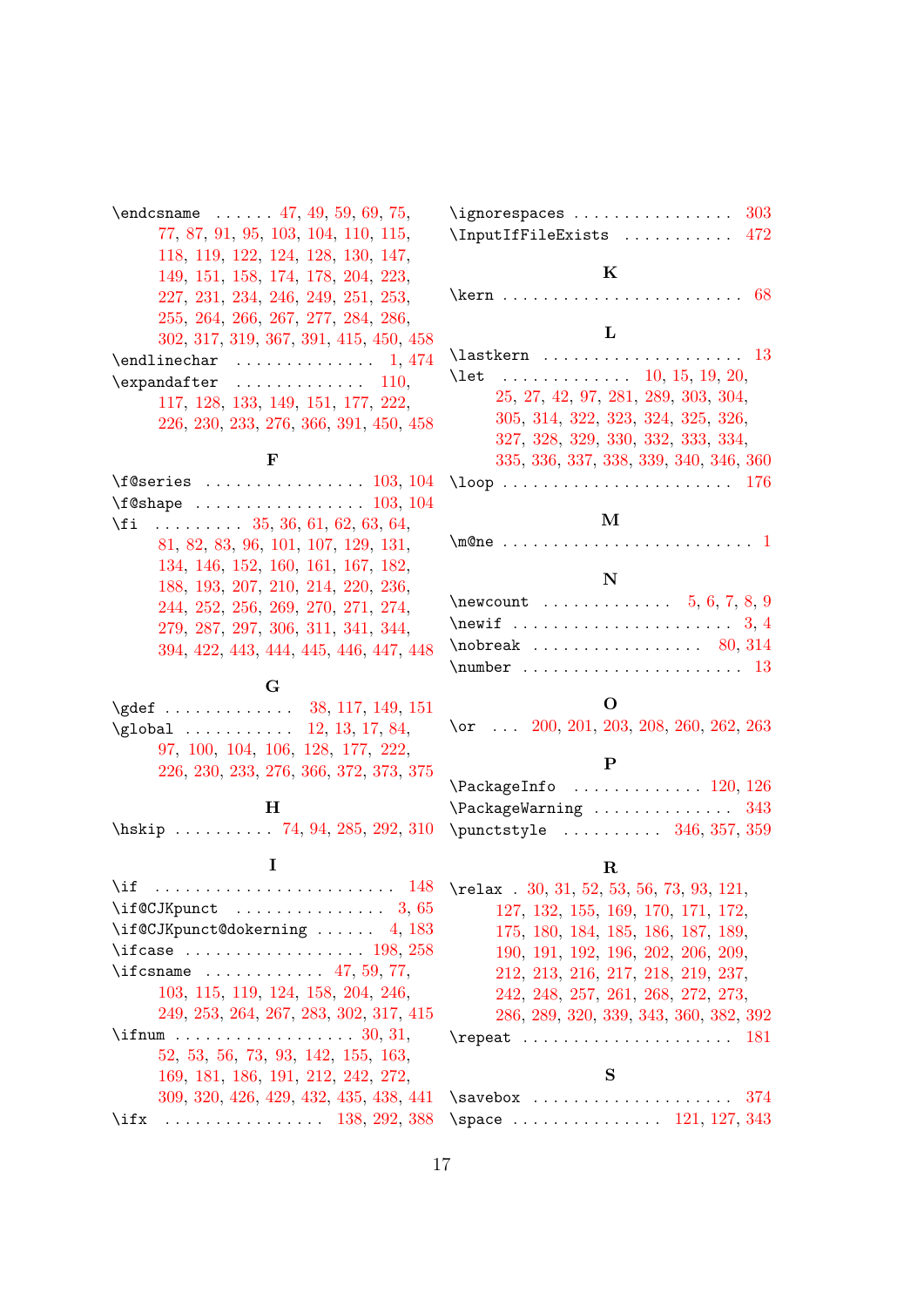| $\end{t}$ $\ldots$ 47, 49, 59, 69, 75, |
|----------------------------------------|
| 77, 87, 91, 95, 103, 104, 110, 115,    |
| 118, 119, 122, 124, 128, 130, 147,     |
| 149, 151, 158, 174, 178, 204, 223,     |
| 227, 231, 234, 246, 249, 251, 253,     |
| 255, 264, 266, 267, 277, 284, 286,     |
| 302, 317, 319, 367, 391, 415, 450, 458 |
| . 1, 474<br>\endlinechar               |
| \expandafter<br>. 110,                 |
| 117, 128, 133, 149, 151, 177, 222,     |
| 226, 230, 233, 276, 366, 391, 450, 458 |
|                                        |

#### **F**

\f@se[ries](#page-5-2) [. .](#page-5-18) . [. . .](#page-5-6) [. . .](#page-5-4) . [. . .](#page-5-5) . [. .](#page-6-15) [103,](#page-7-27) 104 \f@sh[ape](#page-7-28) ................. [103,](#page-13-18) [104](#page-13-19)  $\{f_i$  . . . . . . . . . 35, 36, 61, 62, 63, 64, 81, 82, 83, 96, 101, 107, 129, 131, 134, 146, 152, 160, 161, 167, [182](#page-4-4)[,](#page-4-5) 188, 193, 207, 210, 214, 220, [236](#page-4-4)[,](#page-4-5) 244, 252, 25[6,](#page-3-28) 2[69,](#page-3-29) [270](#page-3-30), [2](#page-3-31)7[1,](#page-3-32) 2[74,](#page-3-33) [279](#page-4-21), [2](#page-4-22)8[7,](#page-4-23) 2[97,](#page-4-24) [306,](#page-4-25) [311,](#page-4-26) [341,](#page-5-27) [344,](#page-5-28) [394](#page-5-29), [422,](#page-5-30) [443,](#page-5-31) [444,](#page-6-27) [445,](#page-6-28) [446,](#page-6-29) [447,](#page-6-30) 448

#### **[G](#page-8-26)**

\gdef [. .](#page-8-27) [. . .](#page-9-25) [. . .](#page-9-26) . . . . . [38,](#page-9-27) [117,](#page-10-34) [149,](#page-10-35) 151 \glob[al](#page-11-21) [. . .](#page-12-14) [. . .](#page-12-13) . . . . [12,](#page-12-15) [13,](#page-12-16) 1[7,](#page-12-17) 84[,](#page-12-18) 97, 100, 104, 106, 128, 177, 222, 226, 230, 233, 276, 3[66,](#page-3-34) [372,](#page-5-2) [373,](#page-5-4) [375](#page-5-5)

#### **H**

\hski[p](#page-4-27) [. . .](#page-4-19) [. . .](#page-4-5) . . . . [7](#page-4-6)4, [94,](#page-5-18) [285,](#page-6-15) [292,](#page-7-27) 310

#### **I**

\if . . . . . . . . . . . . . . . . . . . . . . . . 148  $\left\{\left(\frac{1}{6}C\right)\right\}$  [. .](#page-3-7) [. .](#page-9-28) [. . .](#page-9-3) . . . . . . . . 3, [65](#page-9-29) \if@CJKpunct@dokerning . . . . . . 4, 183 \ifcase . . . . . . . . . . . . . . . . . 198, 258  $\text{Trcsname}$  . . . . . . . . . . . 47[,](#page-5-21) 59, 77, 103, 115, 119, 124, 158, 204, 24[6,](#page-2-20) 249, 253, 264, 267, 283, 302, 3[17,](#page-2-21) [415](#page-6-31)  $\iintnum$  . . . . . . . . . . . . . . . . . . 3[0,](#page-6-24) 31[,](#page-8-20) 52, 53, 56, 73, 93, 142, [1](#page-3-3)5[5,](#page-3-5) 1[63,](#page-4-0) [169](#page-4-4), [181](#page-5-1), [186](#page-5-13), [191,](#page-5-16) [212,](#page-6-1) [242,](#page-7-2) [272,](#page-8-5) [309](#page-8-6), [320](#page-8-8), [426](#page-8-9), [429](#page-8-10), [432](#page-8-12), [435,](#page-9-22) [438,](#page-9-23) [441](#page-12-11) \ifx [.](#page-3-35) [. .](#page-3-36) [. .](#page-5-10) . . . . . . . . . . . [138,](#page-5-22) [2](#page-2-22)[9](#page-6-23)[2,](#page-2-23) 388

| $\left\{ \text{ingnorespaces} \dots \dots \dots \dots \quad 303 \right\}$ |  |  |  |  |  |  |
|---------------------------------------------------------------------------|--|--|--|--|--|--|
| \InputIfFileExists  472                                                   |  |  |  |  |  |  |

#### **K**

\kern . . . . . . . . . . . . . . . . . . . . . . . . [68](#page-9-1)

#### **L**

\lastkern . . . . . . . . . . . . . . . . . . . . 13 \let ............ 10, 15, 19, 20, 25, 27, 42, 97, 281, 289, 303, 304, 305, 314, 322, 323, 324, 325, 326, 327, 328, 329, 330, 332, 333, 334, 335, 336, 337, 338, [339](#page-2-3), [34](#page-2-4)0, [3](#page-2-6)[46,](#page-2-5) 360 \loop [.](#page-2-2) [.](#page-9-13) [. .](#page-2-7) [.](#page-9-9) [. .](#page-3-9) [.](#page-9-4) [. .](#page-4-27) [. . .](#page-8-23) . [. . .](#page-9-0) . [. . .](#page-9-1) [. .](#page-9-14) 176

#### **[M](#page-10-31)**

|--|--|--|--|--|--|--|--|--|--|--|--|--|--|--|--|--|--|--|--|--|--|--|--|--|--|--|--|

#### **N**

| $\neq 5, 6, 7, 8, 9$                              |  |  |  |  |  |  |  |  |  |  |  |
|---------------------------------------------------|--|--|--|--|--|--|--|--|--|--|--|
| \newif $\dots\dots\dots\dots\dots\dots\dots\ 3,4$ |  |  |  |  |  |  |  |  |  |  |  |
| $\backslash$ nobreak  80, 314                     |  |  |  |  |  |  |  |  |  |  |  |
|                                                   |  |  |  |  |  |  |  |  |  |  |  |

#### **O**

\or ... 200, 201, 203, 208, 260, [262](#page-4-28), [263](#page-9-9)

#### **P**

| $\text{VackageInfo} \dots \dots \dots \dots \ 120, \ 126$    |  |  |  |  |  |  |  |
|--------------------------------------------------------------|--|--|--|--|--|--|--|
| $\text{V}\text{PackageWarning}\dots\dots\dots\dots\dots 343$ |  |  |  |  |  |  |  |
| $\mu$ ntstyle  346, 357, 359                                 |  |  |  |  |  |  |  |

#### **R**

| \relax $.30, 31, 52, 53, 56, 73, 93, 121,$                |
|-----------------------------------------------------------|
| 127, 132, 155, 169, 170, 171, 172,                        |
| 175, 180, 184, 185, 186, 187, 189,                        |
| 190, 191, 192, 196, 202, 206, 209,                        |
| 212, 213, 216, 217, 218, 219, 237,                        |
| 242, 248, 257, 261, 268, 272, 273,                        |
| 286, 289, 320, 339, 343, 360, 382, 392                    |
| $\text{repeat} \dots \dots \dots \dots \dots \dots \ 181$ |
|                                                           |
| Q                                                         |

#### **[S](#page-8-2)**

| $\Box$ \savebox  374                                           |  |  |  |  |  |  |  |  |  |  |  |
|----------------------------------------------------------------|--|--|--|--|--|--|--|--|--|--|--|
| $3 \quad \text{space} \quad \ldots \quad \text{121, 127, 343}$ |  |  |  |  |  |  |  |  |  |  |  |